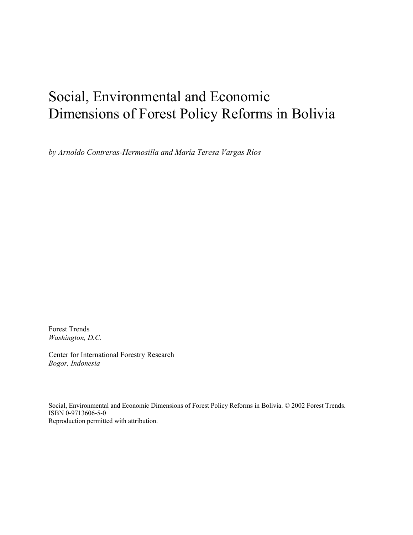# Social, Environmental and Economic Dimensions of Forest Policy Reforms in Bolivia

*by Arnoldo Contreras-Hermosilla and María Teresa Vargas Ríos*

Forest Trends *Washington, D.C*.

Center for International Forestry Research *Bogor, Indonesia* 

Social, Environmental and Economic Dimensions of Forest Policy Reforms in Bolivia. © 2002 Forest Trends. ISBN 0-9713606-5-0 Reproduction permitted with attribution.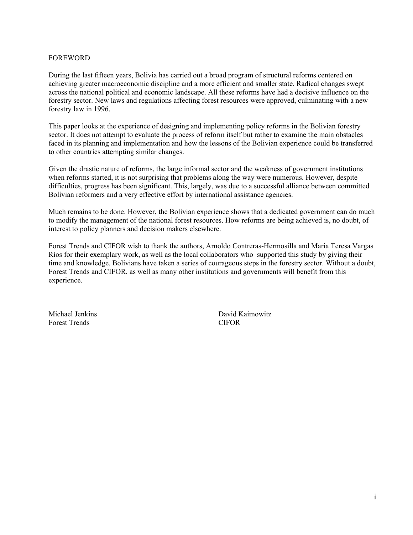#### FOREWORD

During the last fifteen years, Bolivia has carried out a broad program of structural reforms centered on achieving greater macroeconomic discipline and a more efficient and smaller state. Radical changes swept across the national political and economic landscape. All these reforms have had a decisive influence on the forestry sector. New laws and regulations affecting forest resources were approved, culminating with a new forestry law in 1996.

This paper looks at the experience of designing and implementing policy reforms in the Bolivian forestry sector. It does not attempt to evaluate the process of reform itself but rather to examine the main obstacles faced in its planning and implementation and how the lessons of the Bolivian experience could be transferred to other countries attempting similar changes.

Given the drastic nature of reforms, the large informal sector and the weakness of government institutions when reforms started, it is not surprising that problems along the way were numerous. However, despite difficulties, progress has been significant. This, largely, was due to a successful alliance between committed Bolivian reformers and a very effective effort by international assistance agencies.

Much remains to be done. However, the Bolivian experience shows that a dedicated government can do much to modify the management of the national forest resources. How reforms are being achieved is, no doubt, of interest to policy planners and decision makers elsewhere.

Forest Trends and CIFOR wish to thank the authors, Arnoldo Contreras-Hermosilla and María Teresa Vargas Ríos for their exemplary work, as well as the local collaborators who supported this study by giving their time and knowledge. Bolivians have taken a series of courageous steps in the forestry sector. Without a doubt, Forest Trends and CIFOR, as well as many other institutions and governments will benefit from this experience.

Forest Trends CIFOR

Michael Jenkins David Kaimowitz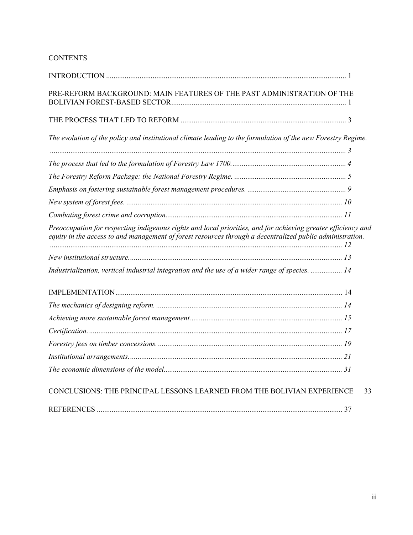# **CONTENTS**

| PRE-REFORM BACKGROUND: MAIN FEATURES OF THE PAST ADMINISTRATION OF THE                                                                                                                                                     |    |
|----------------------------------------------------------------------------------------------------------------------------------------------------------------------------------------------------------------------------|----|
|                                                                                                                                                                                                                            |    |
| The evolution of the policy and institutional climate leading to the formulation of the new Forestry Regime.                                                                                                               |    |
|                                                                                                                                                                                                                            |    |
|                                                                                                                                                                                                                            |    |
|                                                                                                                                                                                                                            |    |
|                                                                                                                                                                                                                            |    |
|                                                                                                                                                                                                                            |    |
|                                                                                                                                                                                                                            |    |
| Preoccupation for respecting indigenous rights and local priorities, and for achieving greater efficiency and<br>equity in the access to and management of forest resources through a decentralized public administration. |    |
|                                                                                                                                                                                                                            |    |
| Industrialization, vertical industrial integration and the use of a wider range of species.  14                                                                                                                            |    |
|                                                                                                                                                                                                                            |    |
|                                                                                                                                                                                                                            |    |
|                                                                                                                                                                                                                            |    |
|                                                                                                                                                                                                                            |    |
|                                                                                                                                                                                                                            |    |
|                                                                                                                                                                                                                            |    |
|                                                                                                                                                                                                                            |    |
| CONCLUSIONS: THE PRINCIPAL LESSONS LEARNED FROM THE BOLIVIAN EXPERIENCE                                                                                                                                                    | 33 |
|                                                                                                                                                                                                                            |    |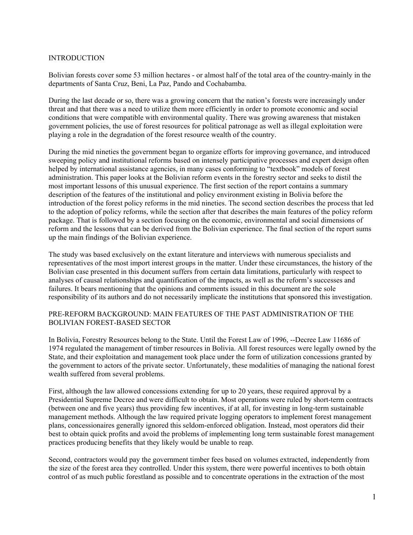### <span id="page-3-0"></span>INTRODUCTION

Bolivian forests cover some 53 million hectares - or almost half of the total area of the country-mainly in the departments of Santa Cruz, Beni, La Paz, Pando and Cochabamba.

During the last decade or so, there was a growing concern that the nation's forests were increasingly under threat and that there was a need to utilize them more efficiently in order to promote economic and social conditions that were compatible with environmental quality. There was growing awareness that mistaken government policies, the use of forest resources for political patronage as well as illegal exploitation were playing a role in the degradation of the forest resource wealth of the country.

During the mid nineties the government began to organize efforts for improving governance, and introduced sweeping policy and institutional reforms based on intensely participative processes and expert design often helped by international assistance agencies, in many cases conforming to "textbook" models of forest administration. This paper looks at the Bolivian reform events in the forestry sector and seeks to distil the most important lessons of this unusual experience. The first section of the report contains a summary description of the features of the institutional and policy environment existing in Bolivia before the introduction of the forest policy reforms in the mid nineties. The second section describes the process that led to the adoption of policy reforms, while the section after that describes the main features of the policy reform package. That is followed by a section focusing on the economic, environmental and social dimensions of reform and the lessons that can be derived from the Bolivian experience. The final section of the report sums up the main findings of the Bolivian experience.

The study was based exclusively on the extant literature and interviews with numerous specialists and representatives of the most import interest groups in the matter. Under these circumstances, the history of the Bolivian case presented in this document suffers from certain data limitations, particularly with respect to analyses of causal relationships and quantification of the impacts, as well as the reform's successes and failures. It bears mentioning that the opinions and comments issued in this document are the sole responsibility of its authors and do not necessarily implicate the institutions that sponsored this investigation.

### PRE-REFORM BACKGROUND: MAIN FEATURES OF THE PAST ADMINISTRATION OF THE BOLIVIAN FOREST-BASED SECTOR

In Bolivia, Forestry Resources belong to the State. Until the Forest Law of 1996, --Decree Law 11686 of 1974 regulated the management of timber resources in Bolivia. All forest resources were legally owned by the State, and their exploitation and management took place under the form of utilization concessions granted by the government to actors of the private sector. Unfortunately, these modalities of managing the national forest wealth suffered from several problems.

First, although the law allowed concessions extending for up to 20 years, these required approval by a Presidential Supreme Decree and were difficult to obtain. Most operations were ruled by short-term contracts (between one and five years) thus providing few incentives, if at all, for investing in long-term sustainable management methods. Although the law required private logging operators to implement forest management plans, concessionaires generally ignored this seldom-enforced obligation. Instead, most operators did their best to obtain quick profits and avoid the problems of implementing long term sustainable forest management practices producing benefits that they likely would be unable to reap.

Second, contractors would pay the government timber fees based on volumes extracted, independently from the size of the forest area they controlled. Under this system, there were powerful incentives to both obtain control of as much public forestland as possible and to concentrate operations in the extraction of the most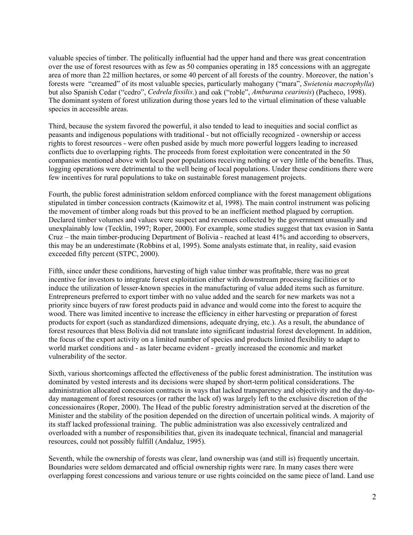valuable species of timber. The politically influential had the upper hand and there was great concentration over the use of forest resources with as few as 50 companies operating in 185 concessions with an aggregate area of more than 22 million hectares, or some 40 percent of all forests of the country. Moreover, the nation's forests were "creamed" of its most valuable species, particularly mahogany ("mara", *Swietenia macrophylla*) but also Spanish Cedar ("cedro", *Cedrela fissilis*.) and oak ("roble", *Amburana cearinsis*) (Pacheco, 1998). The dominant system of forest utilization during those years led to the virtual elimination of these valuable species in accessible areas.

Third, because the system favored the powerful, it also tended to lead to inequities and social conflict as peasants and indigenous populations with traditional - but not officially recognized - ownership or access rights to forest resources - were often pushed aside by much more powerful loggers leading to increased conflicts due to overlapping rights. The proceeds from forest exploitation were concentrated in the 50 companies mentioned above with local poor populations receiving nothing or very little of the benefits. Thus, logging operations were detrimental to the well being of local populations. Under these conditions there were few incentives for rural populations to take on sustainable forest management projects.

Fourth, the public forest administration seldom enforced compliance with the forest management obligations stipulated in timber concession contracts (Kaimowitz et al, 1998). The main control instrument was policing the movement of timber along roads but this proved to be an inefficient method plagued by corruption. Declared timber volumes and values were suspect and revenues collected by the government unusually and unexplainably low (Tecklin, 1997; Roper, 2000). For example, some studies suggest that tax evasion in Santa Cruz – the main timber-producing Department of Bolivia - reached at least 41% and according to observers, this may be an underestimate (Robbins et al, 1995). Some analysts estimate that, in reality, said evasion exceeded fifty percent (STPC, 2000).

Fifth, since under these conditions, harvesting of high value timber was profitable, there was no great incentive for investors to integrate forest exploitation either with downstream processing facilities or to induce the utilization of lesser-known species in the manufacturing of value added items such as furniture. Entrepreneurs preferred to export timber with no value added and the search for new markets was not a priority since buyers of raw forest products paid in advance and would come into the forest to acquire the wood. There was limited incentive to increase the efficiency in either harvesting or preparation of forest products for export (such as standardized dimensions, adequate drying, etc.). As a result, the abundance of forest resources that bless Bolivia did not translate into significant industrial forest development. In addition, the focus of the export activity on a limited number of species and products limited flexibility to adapt to world market conditions and - as later became evident - greatly increased the economic and market vulnerability of the sector.

Sixth, various shortcomings affected the effectiveness of the public forest administration. The institution was dominated by vested interests and its decisions were shaped by short-term political considerations. The administration allocated concession contracts in ways that lacked transparency and objectivity and the day-today management of forest resources (or rather the lack of) was largely left to the exclusive discretion of the concessionaires (Roper, 2000). The Head of the public forestry administration served at the discretion of the Minister and the stability of the position depended on the direction of uncertain political winds. A majority of its staff lacked professional training. The public administration was also excessively centralized and overloaded with a number of responsibilities that, given its inadequate technical, financial and managerial resources, could not possibly fulfill (Andaluz, 1995).

Seventh, while the ownership of forests was clear, land ownership was (and still is) frequently uncertain. Boundaries were seldom demarcated and official ownership rights were rare. In many cases there were overlapping forest concessions and various tenure or use rights coincided on the same piece of land. Land use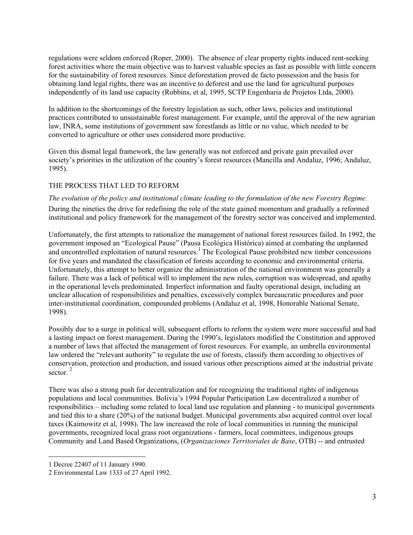<span id="page-5-0"></span>regulations were seldom enforced (Roper, 2000). The absence of clear property rights induced rent-seeking forest activities where the main objective was to harvest valuable species as fast as possible with little concern for the sustainability of forest resources. Since deforestation proved de facto possession and the basis for obtaining land legal rights, there was an incentive to deforest and use the land for agricultural purposes independently of its land use capacity (Robbins, et al, 1995, SCTP Engenharia de Projetos Ltda, 2000).

In addition to the shortcomings of the forestry legislation as such, other laws, policies and institutional practices contributed to unsustainable forest management. For example, until the approval of the new agrarian law, INRA, some institutions of government saw forestlands as little or no value, which needed to be converted to agriculture or other uses considered more productive.

Given this dismal legal framework, the law generally was not enforced and private gain prevailed over society's priorities in the utilization of the country's forest resources (Mancilla and Andaluz, 1996; Andaluz, 1995).

## THE PROCESS THAT LED TO REFORM

*The evolution of the policy and institutional climate leading to the formulation of the new Forestry Regime.*  During the nineties the drive for redefining the role of the state gained momentum and gradually a reformed institutional and policy framework for the management of the forestry sector was conceived and implemented.

Unfortunately, the first attempts to rationalize the management of national forest resources failed. In 1992, the government imposed an "Ecological Pause" (Pausa Ecológica Histórica) aimed at combating the unplanned and uncontrolled exploitation of natural resources.<sup>1</sup> The Ecological Pause prohibited new timber concessions for five years and mandated the classification of forests according to economic and environmental criteria. Unfortunately, this attempt to better organize the administration of the national environment was generally a failure. There was a lack of political will to implement the new rules, corruption was widespread, and apathy in the operational levels predominated. Imperfect information and faulty operational design, including an unclear allocation of responsibilities and penalties, excessively complex bureaucratic procedures and poor inter-institutional coordination, compounded problems (Andaluz et al, 1998, Honorable National Senate, 1998).

Possibly due to a surge in political will, subsequent efforts to reform the system were more successful and had a lasting impact on forest management. During the 1990's, legislators modified the Constitution and approved a number of laws that affected the management of forest resources. For example, an umbrella environmental law ordered the "relevant authority" to regulate the use of forests, classify them according to objectives of conservation, protection and production, and issued various other prescriptions aimed at the industrial private sector.<sup>2</sup>

There was also a strong push for decentralization and for recognizing the traditional rights of indigenous populations and local communities. Bolivia's 1994 Popular Participation Law decentralized a number of responsibilities – including some related to local land use regulation and planning - to municipal governments and tied this to a share (20%) of the national budget. Municipal governments also acquired control over local taxes (Kaimowitz et al, 1998). The law increased the role of local communities in running the municipal governments, recognized local grass root organizations - farmers, local committees, indigenous groups Community and Land Based Organizations, (*Organizaciones Territoriales de Base*, OTB) -- and entrusted

<span id="page-5-1"></span><sup>1</sup> Decree 22407 of 11 January 1990.

<span id="page-5-2"></span><sup>2</sup> Environmental Law 1333 of 27 April 1992.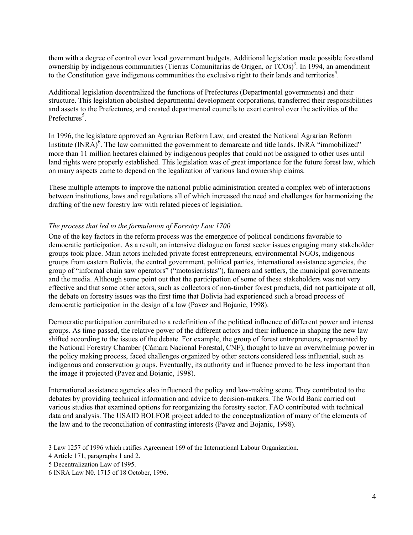<span id="page-6-0"></span>them with a degree of control over local government budgets. Additional legislation made possible forestland ownership by indigenous communities (Tierras Comunitarias de Origen, or TCOs)<sup>3</sup>[.](#page-6-1) In 1994, an amendment to the Constitution gave indigenous communities the exclusive right to their lands and territories<sup>[4](#page-6-2)</sup>.

Additional legislation decentralized the functions of Prefectures (Departmental governments) and their structure. This legislation abolished departmental development corporations, transferred their responsibilities and assets to the Prefectures, and created departmental councils to exert control over the activities of the Prefectures<sup>[5](#page-6-3)</sup>.

In 1996, the legislature approved an Agrarian Reform Law, and created the National Agrarian Reform Institute  $(INRA)^6$  $(INRA)^6$ . The law committed the government to demarcate and title lands. INRA "immobilized" more than 11 million hectares claimed by indigenous peoples that could not be assigned to other uses until land rights were properly established. This legislation was of great importance for the future forest law, which on many aspects came to depend on the legalization of various land ownership claims.

These multiple attempts to improve the national public administration created a complex web of interactions between institutions, laws and regulations all of which increased the need and challenges for harmonizing the drafting of the new forestry law with related pieces of legislation.

#### *The process that led to the formulation of Forestry Law 1700*

One of the key factors in the reform process was the emergence of political conditions favorable to democratic participation. As a result, an intensive dialogue on forest sector issues engaging many stakeholder groups took place. Main actors included private forest entrepreneurs, environmental NGOs, indigenous groups from eastern Bolivia, the central government, political parties, international assistance agencies, the group of "informal chain saw operators" ("motosierristas"), farmers and settlers, the municipal governments and the media. Although some point out that the participation of some of these stakeholders was not very effective and that some other actors, such as collectors of non-timber forest products, did not participate at all, the debate on forestry issues was the first time that Bolivia had experienced such a broad process of democratic participation in the design of a law (Pavez and Bojanic, 1998).

Democratic participation contributed to a redefinition of the political influence of different power and interest groups. As time passed, the relative power of the different actors and their influence in shaping the new law shifted according to the issues of the debate. For example, the group of forest entrepreneurs, represented by the National Forestry Chamber (Cámara Nacional Forestal, CNF), thought to have an overwhelming power in the policy making process, faced challenges organized by other sectors considered less influential, such as indigenous and conservation groups. Eventually, its authority and influence proved to be less important than the image it projected (Pavez and Bojanic, 1998).

International assistance agencies also influenced the policy and law-making scene. They contributed to the debates by providing technical information and advice to decision-makers. The World Bank carried out various studies that examined options for reorganizing the forestry sector. FAO contributed with technical data and analysis. The USAID BOLFOR project added to the conceptualization of many of the elements of the law and to the reconciliation of contrasting interests (Pavez and Bojanic, 1998).

<span id="page-6-1"></span><sup>3</sup> Law 1257 of 1996 which ratifies Agreement 169 of the International Labour Organization.

<span id="page-6-2"></span><sup>4</sup> Article 171, paragraphs 1 and 2.

<span id="page-6-3"></span><sup>5</sup> Decentralization Law of 1995.

<span id="page-6-4"></span><sup>6</sup> INRA Law N0. 1715 of 18 October, 1996.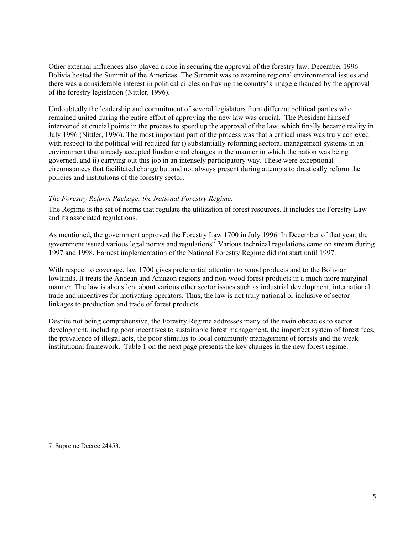<span id="page-7-0"></span>Other external influences also played a role in securing the approval of the forestry law. December 1996 Bolivia hosted the Summit of the Americas. The Summit was to examine regional environmental issues and there was a considerable interest in political circles on having the country's image enhanced by the approval of the forestry legislation (Nittler, 1996).

Undoubtedly the leadership and commitment of several legislators from different political parties who remained united during the entire effort of approving the new law was crucial. The President himself intervened at crucial points in the process to speed up the approval of the law, which finally became reality in July 1996 (Nittler, 1996). The most important part of the process was that a critical mass was truly achieved with respect to the political will required for i) substantially reforming sectoral management systems in an environment that already accepted fundamental changes in the manner in which the nation was being governed, and ii) carrying out this job in an intensely participatory way. These were exceptional circumstances that facilitated change but and not always present during attempts to drastically reform the policies and institutions of the forestry sector.

#### *The Forestry Reform Package: the National Forestry Regime.*

The Regime is the set of norms that regulate the utilization of forest resources. It includes the Forestry Law and its associated regulations.

As mentioned, the government approved the Forestry Law 1700 in July 1996. In December of that year, the government issued various legal norms and regulations<sup>7</sup> Various technical regulations came on stream during 1997 and 1998. Earnest implementation of the National Forestry Regime did not start until 1997.

With respect to coverage, law 1700 gives preferential attention to wood products and to the Bolivian lowlands. It treats the Andean and Amazon regions and non-wood forest products in a much more marginal manner. The law is also silent about various other sector issues such as industrial development, international trade and incentives for motivating operators. Thus, the law is not truly national or inclusive of sector linkages to production and trade of forest products.

Despite not being comprehensive, the Forestry Regime addresses many of the main obstacles to sector development, including poor incentives to sustainable forest management, the imperfect system of forest fees, the prevalence of illegal acts, the poor stimulus to local community management of forests and the weak institutional framework. Table 1 on the next page presents the key changes in the new forest regime.

<span id="page-7-1"></span><sup>7</sup> Supreme Decree 24453.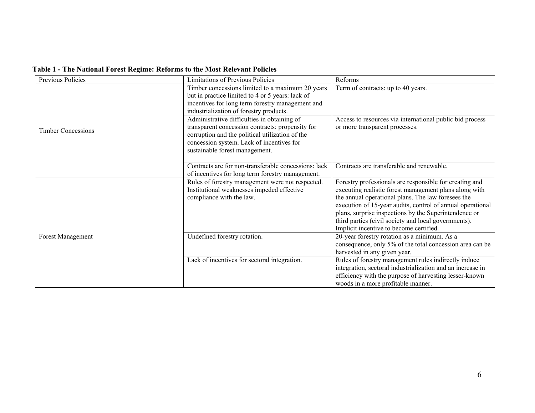| Table 1 - The National Forest Regime: Reforms to the Most Relevant Policies |  |
|-----------------------------------------------------------------------------|--|
|-----------------------------------------------------------------------------|--|

| Previous Policies         | <b>Limitations of Previous Policies</b>                                                                                                                                                                                           | Reforms                                                                                                                                                                                                                                                                                                                                                                                           |
|---------------------------|-----------------------------------------------------------------------------------------------------------------------------------------------------------------------------------------------------------------------------------|---------------------------------------------------------------------------------------------------------------------------------------------------------------------------------------------------------------------------------------------------------------------------------------------------------------------------------------------------------------------------------------------------|
|                           | Timber concessions limited to a maximum 20 years<br>but in practice limited to 4 or 5 years: lack of<br>incentives for long term forestry management and<br>industrialization of forestry products.                               | Term of contracts: up to 40 years.                                                                                                                                                                                                                                                                                                                                                                |
| <b>Timber Concessions</b> | Administrative difficulties in obtaining of<br>transparent concession contracts: propensity for<br>corruption and the political utilization of the<br>concession system. Lack of incentives for<br>sustainable forest management. | Access to resources via international public bid process<br>or more transparent processes.                                                                                                                                                                                                                                                                                                        |
|                           | Contracts are for non-transferable concessions: lack<br>of incentives for long term forestry management.                                                                                                                          | Contracts are transferable and renewable.                                                                                                                                                                                                                                                                                                                                                         |
|                           | Rules of forestry management were not respected.<br>Institutional weaknesses impeded effective<br>compliance with the law.                                                                                                        | Forestry professionals are responsible for creating and<br>executing realistic forest management plans along with<br>the annual operational plans. The law foresees the<br>execution of 15-year audits, control of annual operational<br>plans, surprise inspections by the Superintendence or<br>third parties (civil society and local governments).<br>Implicit incentive to become certified. |
| <b>Forest Management</b>  | Undefined forestry rotation.                                                                                                                                                                                                      | 20-year forestry rotation as a minimum. As a<br>consequence, only 5% of the total concession area can be<br>harvested in any given year.                                                                                                                                                                                                                                                          |
|                           | Lack of incentives for sectoral integration.                                                                                                                                                                                      | Rules of forestry management rules indirectly induce<br>integration, sectoral industrialization and an increase in<br>efficiency with the purpose of harvesting lesser-known<br>woods in a more profitable manner.                                                                                                                                                                                |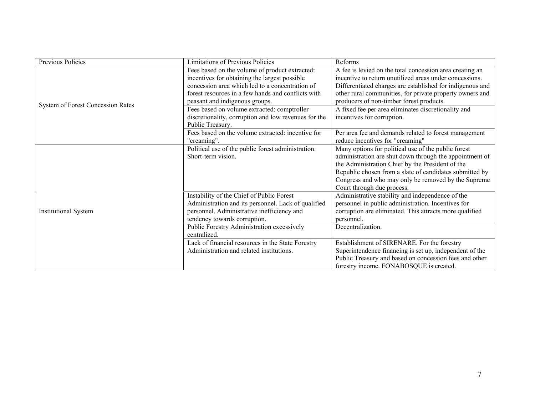| Previous Policies                        | <b>Limitations of Previous Policies</b>                                                                                                                                                                                                    | Reforms                                                                                                                                                                                                                                                                                                            |
|------------------------------------------|--------------------------------------------------------------------------------------------------------------------------------------------------------------------------------------------------------------------------------------------|--------------------------------------------------------------------------------------------------------------------------------------------------------------------------------------------------------------------------------------------------------------------------------------------------------------------|
| <b>System of Forest Concession Rates</b> | Fees based on the volume of product extracted:<br>incentives for obtaining the largest possible<br>concession area which led to a concentration of<br>forest resources in a few hands and conflicts with<br>peasant and indigenous groups. | A fee is levied on the total concession area creating an<br>incentive to return unutilized areas under concessions.<br>Differentiated charges are established for indigenous and<br>other rural communities, for private property owners and<br>producers of non-timber forest products.                           |
|                                          | Fees based on volume extracted: comptroller<br>discretionality, corruption and low revenues for the<br>Public Treasury.                                                                                                                    | A fixed fee per area eliminates discretionality and<br>incentives for corruption.                                                                                                                                                                                                                                  |
|                                          | Fees based on the volume extracted: incentive for<br>"creaming".                                                                                                                                                                           | Per area fee and demands related to forest management<br>reduce incentives for "creaming"                                                                                                                                                                                                                          |
| <b>Institutional System</b>              | Political use of the public forest administration.<br>Short-term vision.                                                                                                                                                                   | Many options for political use of the public forest<br>administration are shut down through the appointment of<br>the Administration Chief by the President of the<br>Republic chosen from a slate of candidates submitted by<br>Congress and who may only be removed by the Supreme<br>Court through due process. |
|                                          | Instability of the Chief of Public Forest<br>Administration and its personnel. Lack of qualified<br>personnel. Administrative inefficiency and<br>tendency towards corruption.                                                             | Administrative stability and independence of the<br>personnel in public administration. Incentives for<br>corruption are eliminated. This attracts more qualified<br>personnel                                                                                                                                     |
|                                          | Public Forestry Administration excessively<br>centralized.                                                                                                                                                                                 | Decentralization.                                                                                                                                                                                                                                                                                                  |
|                                          | Lack of financial resources in the State Forestry<br>Administration and related institutions.                                                                                                                                              | Establishment of SIRENARE. For the forestry<br>Superintendence financing is set up, independent of the<br>Public Treasury and based on concession fees and other<br>forestry income. FONABOSQUE is created.                                                                                                        |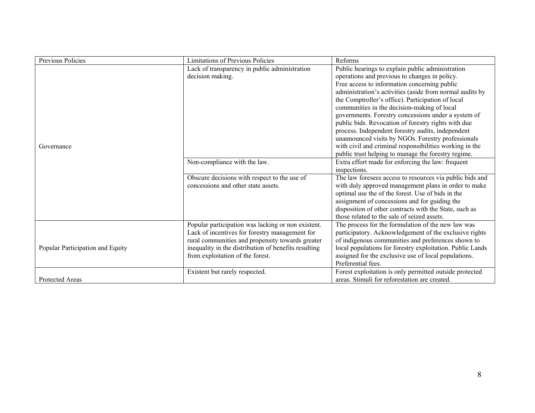| Previous Policies                | <b>Limitations of Previous Policies</b>              | Reforms                                                   |
|----------------------------------|------------------------------------------------------|-----------------------------------------------------------|
|                                  | Lack of transparency in public administration        | Public hearings to explain public administration          |
|                                  | decision making.                                     | operations and previous to changes in policy.             |
|                                  |                                                      | Free access to information concerning public              |
|                                  |                                                      | administration's activities (aside from normal audits by  |
|                                  |                                                      | the Comptroller's office). Participation of local         |
|                                  |                                                      | communities in the decision-making of local               |
|                                  |                                                      | governments. Forestry concessions under a system of       |
|                                  |                                                      | public bids. Revocation of forestry rights with due       |
|                                  |                                                      | process. Independent forestry audits, independent         |
|                                  |                                                      | unannounced visits by NGOs. Forestry professionals        |
| Governance                       |                                                      | with civil and criminal responsibilities working in the   |
|                                  |                                                      | public trust helping to manage the forestry regime.       |
|                                  | Non-compliance with the law.                         | Extra effort made for enforcing the law: frequent         |
|                                  |                                                      | inspections.                                              |
|                                  | Obscure decisions with respect to the use of         | The law foresees access to resources via public bids and  |
|                                  | concessions and other state assets.                  | with duly approved management plans in order to make      |
|                                  |                                                      | optimal use the of the forest. Use of bids in the         |
|                                  |                                                      | assignment of concessions and for guiding the             |
|                                  |                                                      | disposition of other contracts with the State, such as    |
|                                  |                                                      | those related to the sale of seized assets.               |
|                                  | Popular participation was lacking or non existent.   | The process for the formulation of the new law was        |
|                                  | Lack of incentives for forestry management for       | participatory. Acknowledgement of the exclusive rights    |
|                                  | rural communities and propensity towards greater     | of indigenous communities and preferences shown to        |
| Popular Participation and Equity | inequality in the distribution of benefits resulting | local populations for forestry exploitation. Public Lands |
|                                  | from exploitation of the forest.                     | assigned for the exclusive use of local populations.      |
|                                  |                                                      | Preferential fees.                                        |
|                                  | Existent but rarely respected.                       | Forest exploitation is only permitted outside protected   |
| Protected Areas                  |                                                      | areas. Stimuli for reforestation are created.             |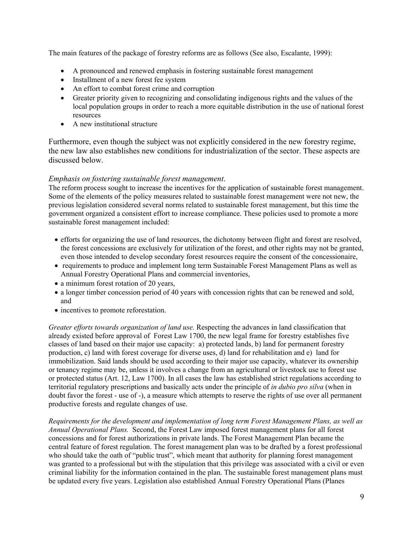<span id="page-11-0"></span>The main features of the package of forestry reforms are as follows (See also, Escalante, 1999):

- A pronounced and renewed emphasis in fostering sustainable forest management
- Installment of a new forest fee system
- An effort to combat forest crime and corruption
- Greater priority given to recognizing and consolidating indigenous rights and the values of the local population groups in order to reach a more equitable distribution in the use of national forest resources
- A new institutional structure

Furthermore, even though the subject was not explicitly considered in the new forestry regime, the new law also establishes new conditions for industrialization of the sector. These aspects are discussed below.

#### *Emphasis on fostering sustainable forest management*.

The reform process sought to increase the incentives for the application of sustainable forest management. Some of the elements of the policy measures related to sustainable forest management were not new, the previous legislation considered several norms related to sustainable forest management, but this time the government organized a consistent effort to increase compliance. These policies used to promote a more sustainable forest management included:

- efforts for organizing the use of land resources, the dichotomy between flight and forest are resolved, the forest concessions are exclusively for utilization of the forest, and other rights may not be granted, even those intended to develop secondary forest resources require the consent of the concessionaire,
- requirements to produce and implement long term Sustainable Forest Management Plans as well as Annual Forestry Operational Plans and commercial inventories,
- a minimum forest rotation of 20 years.
- a longer timber concession period of 40 years with concession rights that can be renewed and sold, and
- incentives to promote reforestation.

*Greater efforts towards organization of land use.* Respecting the advances in land classification that already existed before approval of Forest Law 1700, the new legal frame for forestry establishes five classes of land based on their major use capacity: a) protected lands, b) land for permanent forestry production, c) land with forest coverage for diverse uses, d) land for rehabilitation and e) land for immobilization. Said lands should be used according to their major use capacity, whatever its ownership or tenancy regime may be, unless it involves a change from an agricultural or livestock use to forest use or protected status (Art. 12, Law 1700). In all cases the law has established strict regulations according to territorial regulatory prescriptions and basically acts under the principle of *in dubio pro silva* (when in doubt favor the forest - use of -), a measure which attempts to reserve the rights of use over all permanent productive forests and regulate changes of use.

*Requirements for the development and implementation of long term Forest Management Plans, as well as Annual Operational Plans.* Second, the Forest Law imposed forest management plans for all forest concessions and for forest authorizations in private lands. The Forest Management Plan became the central feature of forest regulation. The forest management plan was to be drafted by a forest professional who should take the oath of "public trust", which meant that authority for planning forest management was granted to a professional but with the stipulation that this privilege was associated with a civil or even criminal liability for the information contained in the plan. The sustainable forest management plans must be updated every five years. Legislation also established Annual Forestry Operational Plans (Planes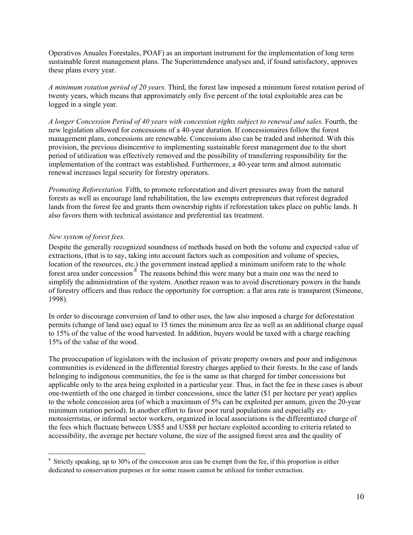<span id="page-12-0"></span>Operativos Anuales Forestales, POAF) as an important instrument for the implementation of long term sustainable forest management plans. The Superintendence analyses and, if found satisfactory, approves these plans every year.

*A minimum rotation period of 20 years.* Third, the forest law imposed a minimum forest rotation period of twenty years, which means that approximately only five percent of the total exploitable area can be logged in a single year.

*A longer Concession Period of 40 years with concession rights subject to renewal and sales.* Fourth, the new legislation allowed for concessions of a 40-year duration. If concessionaires follow the forest management plans, concessions are renewable. Concessions also can be traded and inherited. With this provision, the previous disincentive to implementing sustainable forest management due to the short period of utilization was effectively removed and the possibility of transferring responsibility for the implementation of the contract was established. Furthermore, a 40-year term and almost automatic renewal increases legal security for forestry operators.

*Promoting Reforestation.* Fifth, to promote reforestation and divert pressures away from the natural forests as well as encourage land rehabilitation, the law exempts entrepreneurs that reforest degraded lands from the forest fee and grants them ownership rights if reforestation takes place on public lands. It also favors them with technical assistance and preferential tax treatment.

#### *New system of forest fees.*

 $\overline{a}$ 

Despite the generally recognized soundness of methods based on both the volume and expected value of extractions, (that is to say, taking into account factors such as composition and volume of species, location of the resources, etc.) the government instead applied a minimum uniform rate to the whole forest area under concession.<sup>8</sup> The reasons behind this were many but a main one was the need to simplify the administration of the system. Another reason was to avoid discretionary powers in the hands of forestry officers and thus reduce the opportunity for corruption: a flat area rate is transparent (Simeone, 1998).

In order to discourage conversion of land to other uses, the law also imposed a charge for deforestation permits (change of land use) equal to 15 times the minimum area fee as well as an additional charge equal to 15% of the value of the wood harvested. In addition, buyers would be taxed with a charge reaching 15% of the value of the wood.

The preoccupation of legislators with the inclusion of private property owners and poor and indigenous communities is evidenced in the differential forestry charges applied to their forests. In the case of lands belonging to indigenous communities, the fee is the same as that charged for timber concessions but applicable only to the area being exploited in a particular year. Thus, in fact the fee in these cases is about one-twentieth of the one charged in timber concessions, since the latter (\$1 per hectare per year) applies to the whole concession area (of which a maximum of 5% can be exploited per annum, given the 20-year minimum rotation period). In another effort to favor poor rural populations and especially exmotosierristas, or informal sector workers, organized in local associations is the differentiated charge of the fees which fluctuate between US\$5 and US\$8 per hectare exploited according to criteria related to accessibility, the average per hectare volume, the size of the assigned forest area and the quality of

<span id="page-12-1"></span><sup>&</sup>lt;sup>8</sup> Strictly speaking, up to 30% of the concession area can be exempt from the fee, if this proportion is either dedicated to conservation purposes or for some reason cannot be utilized for timber extraction.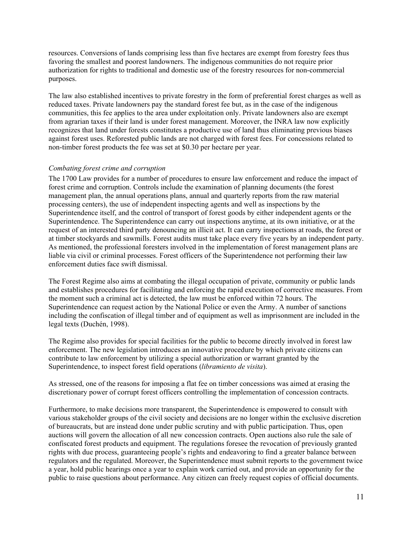<span id="page-13-0"></span>resources. Conversions of lands comprising less than five hectares are exempt from forestry fees thus favoring the smallest and poorest landowners. The indigenous communities do not require prior authorization for rights to traditional and domestic use of the forestry resources for non-commercial purposes.

The law also established incentives to private forestry in the form of preferential forest charges as well as reduced taxes. Private landowners pay the standard forest fee but, as in the case of the indigenous communities, this fee applies to the area under exploitation only. Private landowners also are exempt from agrarian taxes if their land is under forest management. Moreover, the INRA law now explicitly recognizes that land under forests constitutes a productive use of land thus eliminating previous biases against forest uses. Reforested public lands are not charged with forest fees. For concessions related to non-timber forest products the fee was set at \$0.30 per hectare per year.

#### *Combating forest crime and corruption*

The 1700 Law provides for a number of procedures to ensure law enforcement and reduce the impact of forest crime and corruption. Controls include the examination of planning documents (the forest management plan, the annual operations plans, annual and quarterly reports from the raw material processing centers), the use of independent inspecting agents and well as inspections by the Superintendence itself, and the control of transport of forest goods by either independent agents or the Superintendence. The Superintendence can carry out inspections anytime, at its own initiative, or at the request of an interested third party denouncing an illicit act. It can carry inspections at roads, the forest or at timber stockyards and sawmills. Forest audits must take place every five years by an independent party. As mentioned, the professional foresters involved in the implementation of forest management plans are liable via civil or criminal processes. Forest officers of the Superintendence not performing their law enforcement duties face swift dismissal.

The Forest Regime also aims at combating the illegal occupation of private, community or public lands and establishes procedures for facilitating and enforcing the rapid execution of corrective measures. From the moment such a criminal act is detected, the law must be enforced within 72 hours. The Superintendence can request action by the National Police or even the Army. A number of sanctions including the confiscation of illegal timber and of equipment as well as imprisonment are included in the legal texts (Duchén, 1998).

The Regime also provides for special facilities for the public to become directly involved in forest law enforcement. The new legislation introduces an innovative procedure by which private citizens can contribute to law enforcement by utilizing a special authorization or warrant granted by the Superintendence, to inspect forest field operations (*libramiento de visita*).

As stressed, one of the reasons for imposing a flat fee on timber concessions was aimed at erasing the discretionary power of corrupt forest officers controlling the implementation of concession contracts.

Furthermore, to make decisions more transparent, the Superintendence is empowered to consult with various stakeholder groups of the civil society and decisions are no longer within the exclusive discretion of bureaucrats, but are instead done under public scrutiny and with public participation. Thus, open auctions will govern the allocation of all new concession contracts. Open auctions also rule the sale of confiscated forest products and equipment. The regulations foresee the revocation of previously granted rights with due process, guaranteeing people's rights and endeavoring to find a greater balance between regulators and the regulated. Moreover, the Superintendence must submit reports to the government twice a year, hold public hearings once a year to explain work carried out, and provide an opportunity for the public to raise questions about performance. Any citizen can freely request copies of official documents.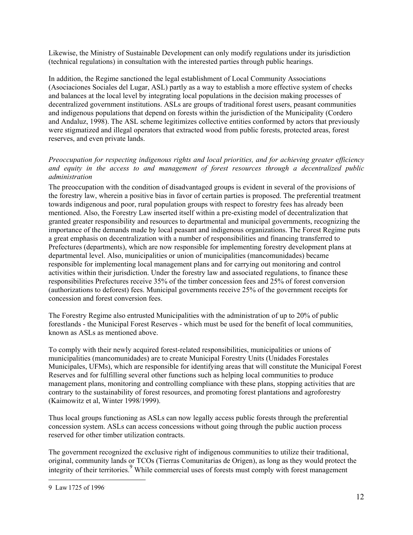<span id="page-14-0"></span>Likewise, the Ministry of Sustainable Development can only modify regulations under its jurisdiction (technical regulations) in consultation with the interested parties through public hearings.

In addition, the Regime sanctioned the legal establishment of Local Community Associations (Asociaciones Sociales del Lugar, ASL) partly as a way to establish a more effective system of checks and balances at the local level by integrating local populations in the decision making processes of decentralized government institutions. ASLs are groups of traditional forest users, peasant communities and indigenous populations that depend on forests within the jurisdiction of the Municipality (Cordero and Andaluz, 1998). The ASL scheme legitimizes collective entities conformed by actors that previously were stigmatized and illegal operators that extracted wood from public forests, protected areas, forest reserves, and even private lands.

*Preoccupation for respecting indigenous rights and local priorities, and for achieving greater efficiency and equity in the access to and management of forest resources through a decentralized public administration* 

The preoccupation with the condition of disadvantaged groups is evident in several of the provisions of the forestry law, wherein a positive bias in favor of certain parties is proposed. The preferential treatment towards indigenous and poor, rural population groups with respect to forestry fees has already been mentioned. Also, the Forestry Law inserted itself within a pre-existing model of decentralization that granted greater responsibility and resources to departmental and municipal governments, recognizing the importance of the demands made by local peasant and indigenous organizations. The Forest Regime puts a great emphasis on decentralization with a number of responsibilities and financing transferred to Prefectures (departments), which are now responsible for implementing forestry development plans at departmental level. Also, municipalities or union of municipalities (mancomunidades) became responsible for implementing local management plans and for carrying out monitoring and control activities within their jurisdiction. Under the forestry law and associated regulations, to finance these responsibilities Prefectures receive 35% of the timber concession fees and 25% of forest conversion (authorizations to deforest) fees. Municipal governments receive 25% of the government receipts for concession and forest conversion fees.

The Forestry Regime also entrusted Municipalities with the administration of up to 20% of public forestlands - the Municipal Forest Reserves - which must be used for the benefit of local communities, known as ASLs as mentioned above.

To comply with their newly acquired forest-related responsibilities, municipalities or unions of municipalities (mancomunidades) are to create Municipal Forestry Units (Unidades Forestales Municipales, UFMs), which are responsible for identifying areas that will constitute the Municipal Forest Reserves and for fulfilling several other functions such as helping local communities to produce management plans, monitoring and controlling compliance with these plans, stopping activities that are contrary to the sustainability of forest resources, and promoting forest plantations and agroforestry (Kaimowitz et al, Winter 1998/1999).

Thus local groups functioning as ASLs can now legally access public forests through the preferential concession system. ASLs can access concessions without going through the public auction process reserved for other timber utilization contracts.

The government recognized the exclusive right of indigenous communities to utilize their traditional, original, community lands or TCOs (Tierras Comunitarias de Origen), as long as they would protect the integrityof their territories.<sup>9</sup> While commercial uses of forests must comply with forest management

<span id="page-14-1"></span><sup>9</sup> Law 1725 of 1996.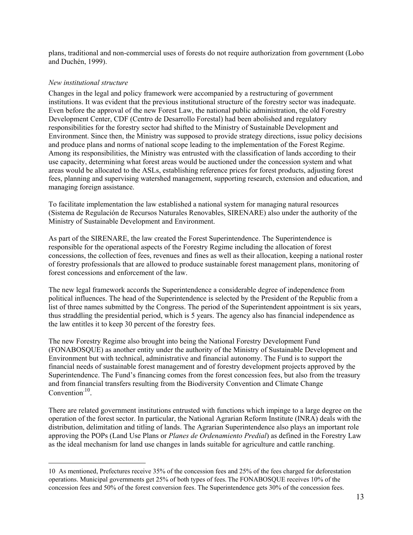<span id="page-15-0"></span>plans, traditional and non-commercial uses of forests do not require authorization from government (Lobo and Duchén, 1999).

#### *New institutional structure*

 $\overline{a}$ 

Changes in the legal and policy framework were accompanied by a restructuring of government institutions. It was evident that the previous institutional structure of the forestry sector was inadequate. Even before the approval of the new Forest Law, the national public administration, the old Forestry Development Center, CDF (Centro de Desarrollo Forestal) had been abolished and regulatory responsibilities for the forestry sector had shifted to the Ministry of Sustainable Development and Environment. Since then, the Ministry was supposed to provide strategy directions, issue policy decisions and produce plans and norms of national scope leading to the implementation of the Forest Regime. Among its responsibilities, the Ministry was entrusted with the classification of lands according to their use capacity, determining what forest areas would be auctioned under the concession system and what areas would be allocated to the ASLs, establishing reference prices for forest products, adjusting forest fees, planning and supervising watershed management, supporting research, extension and education, and managing foreign assistance.

To facilitate implementation the law established a national system for managing natural resources (Sistema de Regulación de Recursos Naturales Renovables, SIRENARE) also under the authority of the Ministry of Sustainable Development and Environment.

As part of the SIRENARE, the law created the Forest Superintendence. The Superintendence is responsible for the operational aspects of the Forestry Regime including the allocation of forest concessions, the collection of fees, revenues and fines as well as their allocation, keeping a national roster of forestry professionals that are allowed to produce sustainable forest management plans, monitoring of forest concessions and enforcement of the law.

The new legal framework accords the Superintendence a considerable degree of independence from political influences. The head of the Superintendence is selected by the President of the Republic from a list of three names submitted by the Congress. The period of the Superintendent appointment is six years, thus straddling the presidential period, which is 5 years. The agency also has financial independence as the law entitles it to keep 30 percent of the forestry fees.

The new Forestry Regime also brought into being the National Forestry Development Fund (FONABOSQUE) as another entity under the authority of the Ministry of Sustainable Development and Environment but with technical, administrative and financial autonomy. The Fund is to support the financial needs of sustainable forest management and of forestry development projects approved by the Superintendence. The Fund's financing comes from the forest concession fees, but also from the treasury and from financial transfers resulting from the Biodiversity Convention and Climate Change Convention $10$ .

There are related government institutions entrusted with functions which impinge to a large degree on the operation of the forest sector. In particular, the National Agrarian Reform Institute (INRA) deals with the distribution, delimitation and titling of lands. The Agrarian Superintendence also plays an important role approving the POPs (Land Use Plans or *Planes de Ordenamiento Predial*) as defined in the Forestry Law as the ideal mechanism for land use changes in lands suitable for agriculture and cattle ranching.

<span id="page-15-1"></span><sup>10</sup> As mentioned, Prefectures receive 35% of the concession fees and 25% of the fees charged for deforestation operations. Municipal governments get 25% of both types of fees. The FONABOSQUE receives 10% of the concession fees and 50% of the forest conversion fees. The Superintendence gets 30% of the concession fees.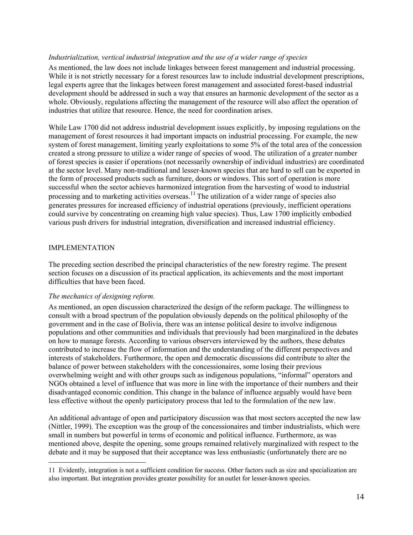#### <span id="page-16-0"></span>*Industrialization, vertical industrial integration and the use of a wider range of species*

As mentioned, the law does not include linkages between forest management and industrial processing. While it is not strictly necessary for a forest resources law to include industrial development prescriptions, legal experts agree that the linkages between forest management and associated forest-based industrial development should be addressed in such a way that ensures an harmonic development of the sector as a whole. Obviously, regulations affecting the management of the resource will also affect the operation of industries that utilize that resource. Hence, the need for coordination arises.

While Law 1700 did not address industrial development issues explicitly, by imposing regulations on the management of forest resources it had important impacts on industrial processing. For example, the new system of forest management, limiting yearly exploitations to some 5% of the total area of the concession created a strong pressure to utilize a wider range of species of wood. The utilization of a greater number of forest species is easier if operations (not necessarily ownership of individual industries) are coordinated at the sector level. Many non-traditional and lesser-known species that are hard to sell can be exported in the form of processed products such as furniture, doors or windows. This sort of operation is more successful when the sector achieves harmonized integration from the harvesting of wood to industrial processing and to marketing activities overseas.<sup>11</sup> The utilization of a wider range of species also generates pressures for increased efficiency of industrial operations (previously, inefficient operations could survive by concentrating on creaming high value species). Thus, Law 1700 implicitly embodied various push drivers for industrial integration, diversification and increased industrial efficiency.

#### IMPLEMENTATION

 $\overline{a}$ 

The preceding section described the principal characteristics of the new forestry regime. The present section focuses on a discussion of its practical application, its achievements and the most important difficulties that have been faced.

#### *The mechanics of designing reform.*

As mentioned, an open discussion characterized the design of the reform package. The willingness to consult with a broad spectrum of the population obviously depends on the political philosophy of the government and in the case of Bolivia, there was an intense political desire to involve indigenous populations and other communities and individuals that previously had been marginalized in the debates on how to manage forests. According to various observers interviewed by the authors, these debates contributed to increase the flow of information and the understanding of the different perspectives and interests of stakeholders. Furthermore, the open and democratic discussions did contribute to alter the balance of power between stakeholders with the concessionaires, some losing their previous overwhelming weight and with other groups such as indigenous populations, "informal" operators and NGOs obtained a level of influence that was more in line with the importance of their numbers and their disadvantaged economic condition. This change in the balance of influence arguably would have been less effective without the openly participatory process that led to the formulation of the new law.

An additional advantage of open and participatory discussion was that most sectors accepted the new law (Nittler, 1999). The exception was the group of the concessionaires and timber industrialists, which were small in numbers but powerful in terms of economic and political influence. Furthermore, as was mentioned above, despite the opening, some groups remained relatively marginalized with respect to the debate and it may be supposed that their acceptance was less enthusiastic (unfortunately there are no

<span id="page-16-1"></span><sup>11</sup> Evidently, integration is not a sufficient condition for success. Other factors such as size and specialization are also important. But integration provides greater possibility for an outlet for lesser-known species.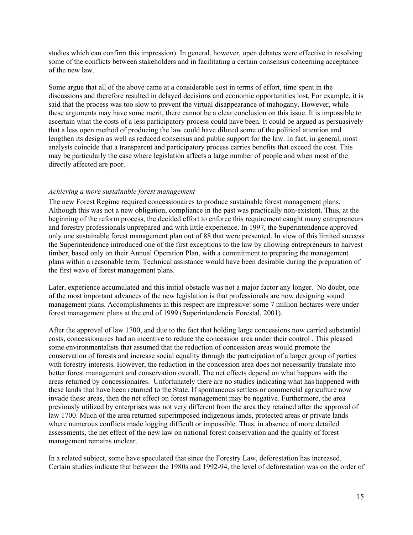<span id="page-17-0"></span>studies which can confirm this impression). In general, however, open debates were effective in resolving some of the conflicts between stakeholders and in facilitating a certain consensus concerning acceptance of the new law.

Some argue that all of the above came at a considerable cost in terms of effort, time spent in the discussions and therefore resulted in delayed decisions and economic opportunities lost. For example, it is said that the process was too slow to prevent the virtual disappearance of mahogany. However, while these arguments may have some merit, there cannot be a clear conclusion on this issue. It is impossible to ascertain what the costs of a less participatory process could have been. It could be argued as persuasively that a less open method of producing the law could have diluted some of the political attention and lengthen its design as well as reduced consensus and public support for the law. In fact, in general, most analysts coincide that a transparent and participatory process carries benefits that exceed the cost. This may be particularly the case where legislation affects a large number of people and when most of the directly affected are poor.

#### *Achieving a more sustainable forest management*

The new Forest Regime required concessionaires to produce sustainable forest management plans. Although this was not a new obligation, compliance in the past was practically non-existent. Thus, at the beginning of the reform process, the decided effort to enforce this requirement caught many entrepreneurs and forestry professionals unprepared and with little experience. In 1997, the Superintendence approved only one sustainable forest management plan out of 88 that were presented. In view of this limited success the Superintendence introduced one of the first exceptions to the law by allowing entrepreneurs to harvest timber, based only on their Annual Operation Plan, with a commitment to preparing the management plans within a reasonable term. Technical assistance would have been desirable during the preparation of the first wave of forest management plans.

Later, experience accumulated and this initial obstacle was not a major factor any longer. No doubt, one of the most important advances of the new legislation is that professionals are now designing sound management plans. Accomplishments in this respect are impressive: some 7 million hectares were under forest management plans at the end of 1999 (Superintendencia Forestal, 2001).

After the approval of law 1700, and due to the fact that holding large concessions now carried substantial costs, concessionaires had an incentive to reduce the concession area under their control . This pleased some environmentalists that assumed that the reduction of concession areas would promote the conservation of forests and increase social equality through the participation of a larger group of parties with forestry interests. However, the reduction in the concession area does not necessarily translate into better forest management and conservation overall. The net effects depend on what happens with the areas returned by concessionaires. Unfortunately there are no studies indicating what has happened with these lands that have been returned to the State. If spontaneous settlers or commercial agriculture now invade these areas, then the net effect on forest management may be negative. Furthermore, the area previously utilized by enterprises was not very different from the area they retained after the approval of law 1700. Much of the area returned superimposed indigenous lands, protected areas or private lands where numerous conflicts made logging difficult or impossible. Thus, in absence of more detailed assessments, the net effect of the new law on national forest conservation and the quality of forest management remains unclear.

In a related subject, some have speculated that since the Forestry Law, deforestation has increased. Certain studies indicate that between the 1980s and 1992-94, the level of deforestation was on the order of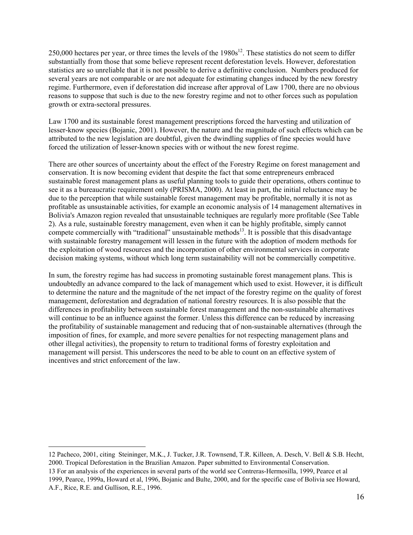$250,000$  hectares per year, or three times the levels of the  $1980s^{12}$ . These statistics do not seem to differ substantially from those that some believe represent recent deforestation levels. However, deforestation statistics are so unreliable that it is not possible to derive a definitive conclusion. Numbers produced for several years are not comparable or are not adequate for estimating changes induced by the new forestry regime. Furthermore, even if deforestation did increase after approval of Law 1700, there are no obvious reasons to suppose that such is due to the new forestry regime and not to other forces such as population growth or extra-sectoral pressures.

Law 1700 and its sustainable forest management prescriptions forced the harvesting and utilization of lesser-know species (Bojanic, 2001). However, the nature and the magnitude of such effects which can be attributed to the new legislation are doubtful, given the dwindling supplies of fine species would have forced the utilization of lesser-known species with or without the new forest regime.

There are other sources of uncertainty about the effect of the Forestry Regime on forest management and conservation. It is now becoming evident that despite the fact that some entrepreneurs embraced sustainable forest management plans as useful planning tools to guide their operations, others continue to see it as a bureaucratic requirement only (PRISMA, 2000). At least in part, the initial reluctance may be due to the perception that while sustainable forest management may be profitable, normally it is not as profitable as unsustainable activities, for example an economic analysis of 14 management alternatives in Bolivia's Amazon region revealed that unsustainable techniques are regularly more profitable (See Table 2). As a rule, sustainable forestry management, even when it can be highly profitable, simply cannot compete commercially with "traditional" unsustainable methods<sup>13</sup>. It is possible that this disadvantage with sustainable forestry management will lessen in the future with the adoption of modern methods for the exploitation of wood resources and the incorporation of other environmental services in corporate decision making systems, without which long term sustainability will not be commercially competitive.

In sum, the forestry regime has had success in promoting sustainable forest management plans. This is undoubtedly an advance compared to the lack of management which used to exist. However, it is difficult to determine the nature and the magnitude of the net impact of the forestry regime on the quality of forest management, deforestation and degradation of national forestry resources. It is also possible that the differences in profitability between sustainable forest management and the non-sustainable alternatives will continue to be an influence against the former. Unless this difference can be reduced by increasing the profitability of sustainable management and reducing that of non-sustainable alternatives (through the imposition of fines, for example, and more severe penalties for not respecting management plans and other illegal activities), the propensity to return to traditional forms of forestry exploitation and management will persist. This underscores the need to be able to count on an effective system of incentives and strict enforcement of the law.

<span id="page-18-0"></span><sup>12</sup> Pacheco, 2001, citing Steininger, M.K., J. Tucker, J.R. Townsend, T.R. Killeen, A. Desch, V. Bell & S.B. Hecht, 2000. Tropical Deforestation in the Brazilian Amazon. Paper submitted to Environmental Conservation.

<span id="page-18-1"></span><sup>13</sup> For an analysis of the experiences in several parts of the world see Contreras-Hermosilla, 1999, Pearce et al 1999, Pearce, 1999a, Howard et al, 1996, Bojanic and Bulte, 2000, and for the specific case of Bolivia see Howard, A.F., Rice, R.E. and Gullison, R.E., 1996.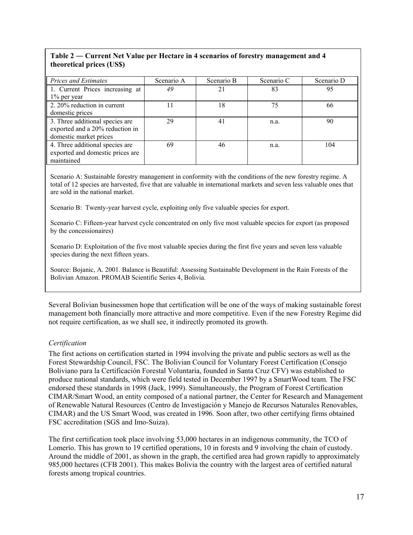## <span id="page-19-0"></span>**Table 2 ― Current Net Value per Hectare in 4 scenarios of forestry management and 4 theoretical prices (US\$)**

| <b>Prices and Estimates</b>      | Scenario A | Scenario B | Scenario C | Scenario D |
|----------------------------------|------------|------------|------------|------------|
| 1. Current Prices increasing at  | 49         | 21         | 83         | 95         |
| $1\%$ per year                   |            |            |            |            |
| 2. 20% reduction in current      |            | 18         | 75         | 66         |
| domestic prices                  |            |            |            |            |
| 3. Three additional species are  | 29         | 41         | n.a.       | 90         |
| exported and a 20% reduction in  |            |            |            |            |
| domestic market prices           |            |            |            |            |
| 4. Three additional species are  | 69         | 46         | n.a.       | 104        |
| exported and domestic prices are |            |            |            |            |
| maintained                       |            |            |            |            |

Scenario A: Sustainable forestry management in conformity with the conditions of the new forestry regime. A total of 12 species are harvested, five that are valuable in international markets and seven less valuable ones that are sold in the national market.

Scenario B: Twenty-year harvest cycle, exploiting only five valuable species for export.

Scenario C: Fifteen-year harvest cycle concentrated on only five most valuable species for export (as proposed by the concessionaires)

Scenario D: Exploitation of the five most valuable species during the first five years and seven less valuable species during the next fifteen years.

Source: Bojanic, A. 2001. Balance is Beautiful: Assessing Sustainable Development in the Rain Forests of the Bolivian Amazon. PROMAB Scientific Series 4, Bolivia.

Several Bolivian businessmen hope that certification will be one of the ways of making sustainable forest management both financially more attractive and more competitive. Even if the new Forestry Regime did not require certification, as we shall see, it indirectly promoted its growth.

#### *Certification*

The first actions on certification started in 1994 involving the private and public sectors as well as the Forest Stewardship Council, FSC. The Bolivian Council for Voluntary Forest Certification (Consejo Boliviano para la Certificación Forestal Voluntaria, founded in Santa Cruz CFV) was established to produce national standards, which were field tested in December 1997 by a SmartWood team. The FSC endorsed these standards in 1998 (Jack, 1999). Simultaneously, the Program of Forest Certification CIMAR/Smart Wood, an entity composed of a national partner, the Center for Research and Management of Renewable Natural Resources (Centro de Investigación y Manejo de Recursos Naturales Renovables, CIMAR) and the US Smart Wood, was created in 1996. Soon after, two other certifying firms obtained FSC accreditation (SGS and Imo-Suiza).

The first certification took place involving 53,000 hectares in an indigenous community, the TCO of Lomerío. This has grown to 19 certified operations, 10 in forests and 9 involving the chain of custody. Around the middle of 2001, as shown in the graph, the certified area had grown rapidly to approximately 985,000 hectares (CFB 2001). This makes Bolivia the country with the largest area of certified natural forests among tropical countries.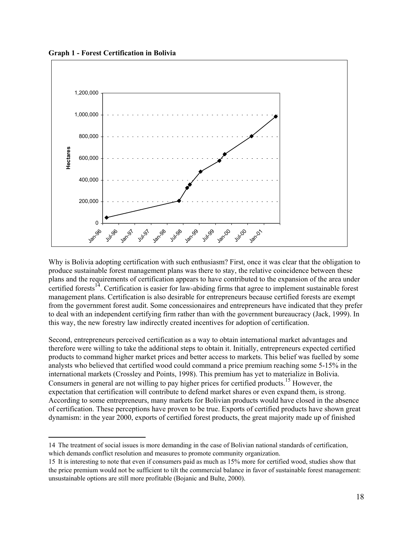**Graph 1 - Forest Certification in Bolivia** 

 $\overline{a}$ 



Why is Bolivia adopting certification with such enthusiasm? First, once it was clear that the obligation to produce sustainable forest management plans was there to stay, the relative coincidence between these plans and the requirements of certification appears to have contributed to the expansion of the area under certified forests<sup>14</sup>. Certification is easier for law-abiding firms that agree to implement sustainable forest management plans. Certification is also desirable for entrepreneurs because certified forests are exempt from the government forest audit. Some concessionaires and entrepreneurs have indicated that they prefer to deal with an independent certifying firm rather than with the government bureaucracy (Jack, 1999). In this way, the new forestry law indirectly created incentives for adoption of certification.

Second, entrepreneurs perceived certification as a way to obtain international market advantages and therefore were willing to take the additional steps to obtain it. Initially, entrepreneurs expected certified products to command higher market prices and better access to markets. This belief was fuelled by some analysts who believed that certified wood could command a price premium reaching some 5-15% in the international markets (Crossley and Points, 1998). This premium has yet to materialize in Bolivia. Consumers in general are not willing to pay higher prices for certified products.<sup>15</sup> However, the expectation that certification will contribute to defend market shares or even expand them, is strong. According to some entrepreneurs, many markets for Bolivian products would have closed in the absence of certification. These perceptions have proven to be true. Exports of certified products have shown great dynamism: in the year 2000, exports of certified forest products, the great majority made up of finished

<span id="page-20-0"></span><sup>14</sup> The treatment of social issues is more demanding in the case of Bolivian national standards of certification, which demands conflict resolution and measures to promote community organization.

<span id="page-20-1"></span><sup>15</sup> It is interesting to note that even if consumers paid as much as 15% more for certified wood, studies show that the price premium would not be sufficient to tilt the commercial balance in favor of sustainable forest management: unsustainable options are still more profitable (Bojanic and Bulte, 2000).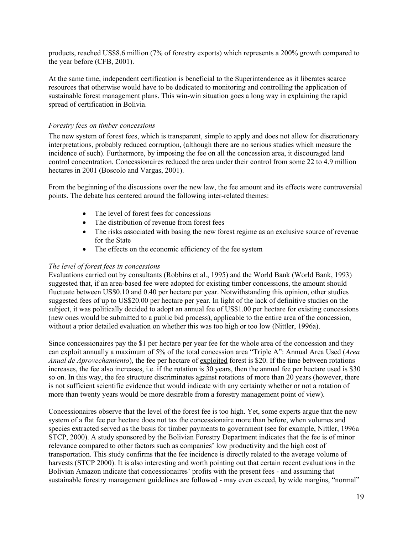<span id="page-21-0"></span>products, reached US\$8.6 million (7% of forestry exports) which represents a 200% growth compared to the year before (CFB, 2001).

At the same time, independent certification is beneficial to the Superintendence as it liberates scarce resources that otherwise would have to be dedicated to monitoring and controlling the application of sustainable forest management plans. This win-win situation goes a long way in explaining the rapid spread of certification in Bolivia.

#### *Forestry fees on timber concessions*

The new system of forest fees, which is transparent, simple to apply and does not allow for discretionary interpretations, probably reduced corruption, (although there are no serious studies which measure the incidence of such). Furthermore, by imposing the fee on all the concession area, it discouraged land control concentration. Concessionaires reduced the area under their control from some 22 to 4.9 million hectares in 2001 (Boscolo and Vargas, 2001).

From the beginning of the discussions over the new law, the fee amount and its effects were controversial points. The debate has centered around the following inter-related themes:

- The level of forest fees for concessions
- The distribution of revenue from forest fees
- The risks associated with basing the new forest regime as an exclusive source of revenue for the State
- The effects on the economic efficiency of the fee system

#### *The level of forest fees in concessions*

Evaluations carried out by consultants (Robbins et al., 1995) and the World Bank (World Bank, 1993) suggested that, if an area-based fee were adopted for existing timber concessions, the amount should fluctuate between US\$0.10 and 0.40 per hectare per year. Notwithstanding this opinion, other studies suggested fees of up to US\$20.00 per hectare per year. In light of the lack of definitive studies on the subject, it was politically decided to adopt an annual fee of US\$1.00 per hectare for existing concessions (new ones would be submitted to a public bid process), applicable to the entire area of the concession, without a prior detailed evaluation on whether this was too high or too low (Nittler, 1996a).

Since concessionaires pay the \$1 per hectare per year fee for the whole area of the concession and they can exploit annually a maximum of 5% of the total concession area "Triple A": Annual Area Used (*Area Anual de Aprovechamiento*), the fee per hectare of exploited forest is \$20. If the time between rotations increases, the fee also increases, i.e. if the rotation is 30 years, then the annual fee per hectare used is \$30 so on. In this way, the fee structure discriminates against rotations of more than 20 years (however, there is not sufficient scientific evidence that would indicate with any certainty whether or not a rotation of more than twenty years would be more desirable from a forestry management point of view).

Concessionaires observe that the level of the forest fee is too high. Yet, some experts argue that the new system of a flat fee per hectare does not tax the concessionaire more than before, when volumes and species extracted served as the basis for timber payments to government (see for example, Nittler, 1996a STCP, 2000). A study sponsored by the Bolivian Forestry Department indicates that the fee is of minor relevance compared to other factors such as companies' low productivity and the high cost of transportation. This study confirms that the fee incidence is directly related to the average volume of harvests (STCP 2000). It is also interesting and worth pointing out that certain recent evaluations in the Bolivian Amazon indicate that concessionaires' profits with the present fees - and assuming that sustainable forestry management guidelines are followed - may even exceed, by wide margins, "normal"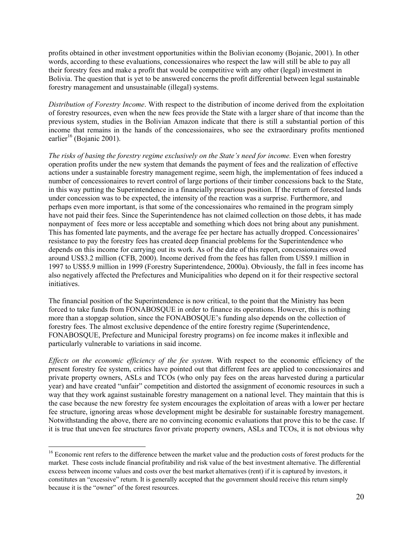profits obtained in other investment opportunities within the Bolivian economy (Bojanic, 2001). In other words, according to these evaluations, concessionaires who respect the law will still be able to pay all their forestry fees and make a profit that would be competitive with any other (legal) investment in Bolivia. The question that is yet to be answered concerns the profit differential between legal sustainable forestry management and unsustainable (illegal) systems.

*Distribution of Forestry Income*. With respect to the distribution of income derived from the exploitation of forestry resources, even when the new fees provide the State with a larger share of that income than the previous system, studies in the Bolivian Amazon indicate that there is still a substantial portion of this income that remains in the hands of the concessionaires, who see the extraordinary profits mentioned earlier<sup>16</sup> (Bojanic 2001).

*The risks of basing the forestry regime exclusively on the State's need for income.* Even when forestry operation profits under the new system that demands the payment of fees and the realization of effective actions under a sustainable forestry management regime, seem high, the implementation of fees induced a number of concessionaires to revert control of large portions of their timber concessions back to the State, in this way putting the Superintendence in a financially precarious position. If the return of forested lands under concession was to be expected, the intensity of the reaction was a surprise. Furthermore, and perhaps even more important, is that some of the concessionaires who remained in the program simply have not paid their fees. Since the Superintendence has not claimed collection on those debts, it has made nonpayment of fees more or less acceptable and something which does not bring about any punishment. This has fomented late payments, and the average fee per hectare has actually dropped. Concessionaires' resistance to pay the forestry fees has created deep financial problems for the Superintendence who depends on this income for carrying out its work. As of the date of this report, concessionaires owed around US\$3.2 million (CFB, 2000). Income derived from the fees has fallen from US\$9.1 million in 1997 to US\$5.9 million in 1999 (Forestry Superintendence, 2000a). Obviously, the fall in fees income has also negatively affected the Prefectures and Municipalities who depend on it for their respective sectoral *initiatives* 

The financial position of the Superintendence is now critical, to the point that the Ministry has been forced to take funds from FONABOSQUE in order to finance its operations. However, this is nothing more than a stopgap solution, since the FONABOSQUE's funding also depends on the collection of forestry fees. The almost exclusive dependence of the entire forestry regime (Superintendence, FONABOSQUE, Prefecture and Municipal forestry programs) on fee income makes it inflexible and particularly vulnerable to variations in said income.

*Effects on the economic efficiency of the fee system*. With respect to the economic efficiency of the present forestry fee system, critics have pointed out that different fees are applied to concessionaires and private property owners, ASLs and TCOs (who only pay fees on the areas harvested during a particular year) and have created "unfair" competition and distorted the assignment of economic resources in such a way that they work against sustainable forestry management on a national level. They maintain that this is the case because the new forestry fee system encourages the exploitation of areas with a lower per hectare fee structure, ignoring areas whose development might be desirable for sustainable forestry management. Notwithstanding the above, there are no convincing economic evaluations that prove this to be the case. If it is true that uneven fee structures favor private property owners, ASLs and TCOs, it is not obvious why

<span id="page-22-0"></span><sup>&</sup>lt;sup>16</sup> Economic rent refers to the difference between the market value and the production costs of forest products for the market. These costs include financial profitability and risk value of the best investment alternative. The differential excess between income values and costs over the best market alternatives (rent) if it is captured by investors, it constitutes an "excessive" return. It is generally accepted that the government should receive this return simply because it is the "owner" of the forest resources.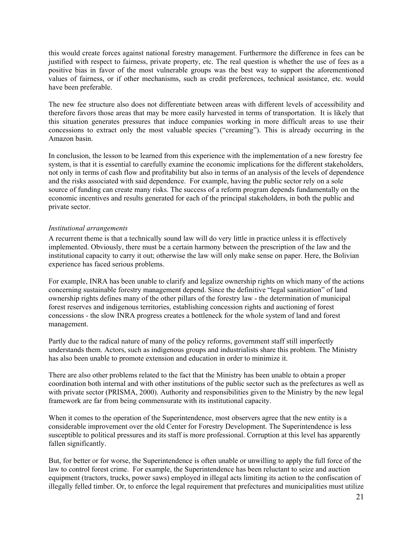<span id="page-23-0"></span>this would create forces against national forestry management. Furthermore the difference in fees can be justified with respect to fairness, private property, etc. The real question is whether the use of fees as a positive bias in favor of the most vulnerable groups was the best way to support the aforementioned values of fairness, or if other mechanisms, such as credit preferences, technical assistance, etc. would have been preferable.

The new fee structure also does not differentiate between areas with different levels of accessibility and therefore favors those areas that may be more easily harvested in terms of transportation. It is likely that this situation generates pressures that induce companies working in more difficult areas to use their concessions to extract only the most valuable species ("creaming"). This is already occurring in the Amazon basin.

In conclusion, the lesson to be learned from this experience with the implementation of a new forestry fee system, is that it is essential to carefully examine the economic implications for the different stakeholders, not only in terms of cash flow and profitability but also in terms of an analysis of the levels of dependence and the risks associated with said dependence. For example, having the public sector rely on a sole source of funding can create many risks. The success of a reform program depends fundamentally on the economic incentives and results generated for each of the principal stakeholders, in both the public and private sector.

#### *Institutional arrangements*

A recurrent theme is that a technically sound law will do very little in practice unless it is effectively implemented. Obviously, there must be a certain harmony between the prescription of the law and the institutional capacity to carry it out; otherwise the law will only make sense on paper. Here, the Bolivian experience has faced serious problems.

For example, INRA has been unable to clarify and legalize ownership rights on which many of the actions concerning sustainable forestry management depend. Since the definitive "legal sanitization" of land ownership rights defines many of the other pillars of the forestry law - the determination of municipal forest reserves and indigenous territories, establishing concession rights and auctioning of forest concessions - the slow INRA progress creates a bottleneck for the whole system of land and forest management.

Partly due to the radical nature of many of the policy reforms, government staff still imperfectly understands them. Actors, such as indigenous groups and industrialists share this problem. The Ministry has also been unable to promote extension and education in order to minimize it.

There are also other problems related to the fact that the Ministry has been unable to obtain a proper coordination both internal and with other institutions of the public sector such as the prefectures as well as with private sector (PRISMA, 2000). Authority and responsibilities given to the Ministry by the new legal framework are far from being commensurate with its institutional capacity.

When it comes to the operation of the Superintendence, most observers agree that the new entity is a considerable improvement over the old Center for Forestry Development. The Superintendence is less susceptible to political pressures and its staff is more professional. Corruption at this level has apparently fallen significantly.

But, for better or for worse, the Superintendence is often unable or unwilling to apply the full force of the law to control forest crime. For example, the Superintendence has been reluctant to seize and auction equipment (tractors, trucks, power saws) employed in illegal acts limiting its action to the confiscation of illegally felled timber. Or, to enforce the legal requirement that prefectures and municipalities must utilize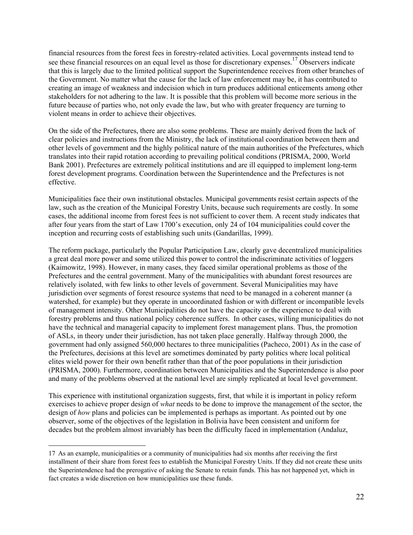financial resources from the forest fees in forestry-related activities. Local governments instead tend to see these financial resources on an equal level as those for discretionary expenses.<sup>17</sup> Observers indicate that this is largely due to the limited political support the Superintendence receives from other branches of the Government. No matter what the cause for the lack of law enforcement may be, it has contributed to creating an image of weakness and indecision which in turn produces additional enticements among other stakeholders for not adhering to the law. It is possible that this problem will become more serious in the future because of parties who, not only evade the law, but who with greater frequency are turning to violent means in order to achieve their objectives.

On the side of the Prefectures, there are also some problems. These are mainly derived from the lack of clear policies and instructions from the Ministry, the lack of institutional coordination between them and other levels of government and the highly political nature of the main authorities of the Prefectures, which translates into their rapid rotation according to prevailing political conditions (PRISMA, 2000, World Bank 2001). Prefectures are extremely political institutions and are ill equipped to implement long-term forest development programs. Coordination between the Superintendence and the Prefectures is not effective.

Municipalities face their own institutional obstacles. Municipal governments resist certain aspects of the law, such as the creation of the Municipal Forestry Units, because such requirements are costly. In some cases, the additional income from forest fees is not sufficient to cover them. A recent study indicates that after four years from the start of Law 1700's execution, only 24 of 104 municipalities could cover the inception and recurring costs of establishing such units (Gandarillas, 1999).

The reform package, particularly the Popular Participation Law, clearly gave decentralized municipalities a great deal more power and some utilized this power to control the indiscriminate activities of loggers (Kaimowitz, 1998). However, in many cases, they faced similar operational problems as those of the Prefectures and the central government. Many of the municipalities with abundant forest resources are relatively isolated, with few links to other levels of government. Several Municipalities may have jurisdiction over segments of forest resource systems that need to be managed in a coherent manner (a watershed, for example) but they operate in uncoordinated fashion or with different or incompatible levels of management intensity. Other Municipalities do not have the capacity or the experience to deal with forestry problems and thus national policy coherence suffers. In other cases, willing municipalities do not have the technical and managerial capacity to implement forest management plans. Thus, the promotion of ASLs, in theory under their jurisdiction, has not taken place generally. Halfway through 2000, the government had only assigned 560,000 hectares to three municipalities (Pacheco, 2001) As in the case of the Prefectures, decisions at this level are sometimes dominated by party politics where local political elites wield power for their own benefit rather than that of the poor populations in their jurisdiction (PRISMA, 2000). Furthermore, coordination between Municipalities and the Superintendence is also poor and many of the problems observed at the national level are simply replicated at local level government.

This experience with institutional organization suggests, first, that while it is important in policy reform exercises to achieve proper design of *what* needs to be done to improve the management of the sector, the design of *how* plans and policies can be implemented is perhaps as important. As pointed out by one observer, some of the objectives of the legislation in Bolivia have been consistent and uniform for decades but the problem almost invariably has been the difficulty faced in implementation (Andaluz,

<span id="page-24-0"></span><sup>17</sup> As an example, municipalities or a community of municipalities had six months after receiving the first installment of their share from forest fees to establish the Municipal Forestry Units. If they did not create these units the Superintendence had the prerogative of asking the Senate to retain funds. This has not happened yet, which in fact creates a wide discretion on how municipalities use these funds.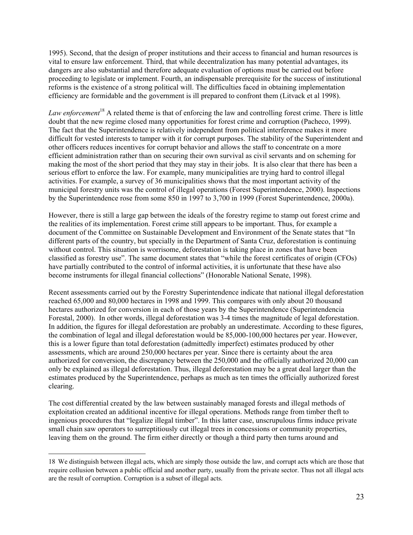1995). Second, that the design of proper institutions and their access to financial and human resources is vital to ensure law enforcement. Third, that while decentralization has many potential advantages, its dangers are also substantial and therefore adequate evaluation of options must be carried out before proceeding to legislate or implement. Fourth, an indispensable prerequisite for the success of institutional reforms is the existence of a strong political will. The difficulties faced in obtaining implementation efficiency are formidable and the government is ill prepared to confront them (Litvack et al 1998).

*Law enforcement*[18](#page-25-0) A related theme is that of enforcing the law and controlling forest crime. There is little doubt that the new regime closed many opportunities for forest crime and corruption (Pacheco, 1999). The fact that the Superintendence is relatively independent from political interference makes it more difficult for vested interests to tamper with it for corrupt purposes. The stability of the Superintendent and other officers reduces incentives for corrupt behavior and allows the staff to concentrate on a more efficient administration rather than on securing their own survival as civil servants and on scheming for making the most of the short period that they may stay in their jobs. It is also clear that there has been a serious effort to enforce the law. For example, many municipalities are trying hard to control illegal activities. For example, a survey of 36 municipalities shows that the most important activity of the municipal forestry units was the control of illegal operations (Forest Superintendence, 2000). Inspections by the Superintendence rose from some 850 in 1997 to 3,700 in 1999 (Forest Superintendence, 2000a).

However, there is still a large gap between the ideals of the forestry regime to stamp out forest crime and the realities of its implementation. Forest crime still appears to be important. Thus, for example a document of the Committee on Sustainable Development and Environment of the Senate states that "In different parts of the country, but specially in the Department of Santa Cruz, deforestation is continuing without control. This situation is worrisome, deforestation is taking place in zones that have been classified as forestry use". The same document states that "while the forest certificates of origin (CFOs) have partially contributed to the control of informal activities, it is unfortunate that these have also become instruments for illegal financial collections" (Honorable National Senate, 1998).

Recent assessments carried out by the Forestry Superintendence indicate that national illegal deforestation reached 65,000 and 80,000 hectares in 1998 and 1999. This compares with only about 20 thousand hectares authorized for conversion in each of those years by the Superintendence (Superintendencia Forestal, 2000). In other words, illegal deforestation was 3-4 times the magnitude of legal deforestation. In addition, the figures for illegal deforestation are probably an underestimate. According to these figures, the combination of legal and illegal deforestation would be 85,000-100,000 hectares per year. However, this is a lower figure than total deforestation (admittedly imperfect) estimates produced by other assessments, which are around 250,000 hectares per year. Since there is certainty about the area authorized for conversion, the discrepancy between the 250,000 and the officially authorized 20,000 can only be explained as illegal deforestation. Thus, illegal deforestation may be a great deal larger than the estimates produced by the Superintendence, perhaps as much as ten times the officially authorized forest clearing.

The cost differential created by the law between sustainably managed forests and illegal methods of exploitation created an additional incentive for illegal operations. Methods range from timber theft to ingenious procedures that "legalize illegal timber". In this latter case, unscrupulous firms induce private small chain saw operators to surreptitiously cut illegal trees in concessions or community properties, leaving them on the ground. The firm either directly or though a third party then turns around and

<span id="page-25-0"></span><sup>18</sup> We distinguish between illegal acts, which are simply those outside the law, and corrupt acts which are those that require collusion between a public official and another party, usually from the private sector. Thus not all illegal acts are the result of corruption. Corruption is a subset of illegal acts.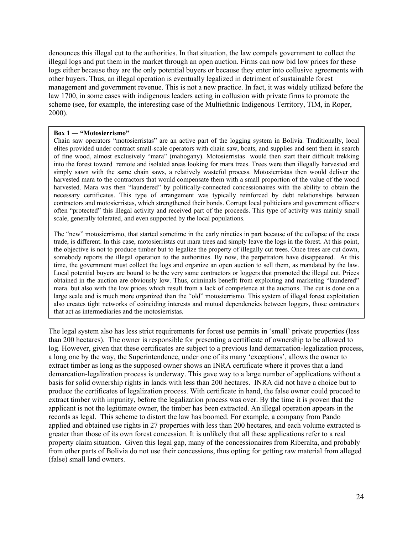denounces this illegal cut to the authorities. In that situation, the law compels government to collect the illegal logs and put them in the market through an open auction. Firms can now bid low prices for these logs either because they are the only potential buyers or because they enter into collusive agreements with other buyers. Thus, an illegal operation is eventually legalized in detriment of sustainable forest management and government revenue. This is not a new practice. In fact, it was widely utilized before the law 1700, in some cases with indigenous leaders acting in collusion with private firms to promote the scheme (see, for example, the interesting case of the Multiethnic Indigenous Territory, TIM, in Roper, 2000).

#### **Box 1 ― "Motosierrismo"**

Chain saw operators "motosierristas" are an active part of the logging system in Bolivia. Traditionally, local elites provided under contract small-scale operators with chain saw, boats, and supplies and sent them in search of fine wood, almost exclusively "mara" (mahogany). Motosierristas would then start their difficult trekking into the forest toward remote and isolated areas looking for mara trees. Trees were then illegally harvested and simply sawn with the same chain saws, a relatively wasteful process. Motosierristas then would deliver the harvested mara to the contractors that would compensate them with a small proportion of the value of the wood harvested. Mara was then "laundered" by politically-connected concessionaires with the ability to obtain the necessary certificates. This type of arrangement was typically reinforced by debt relationships between contractors and motosierristas, which strengthened their bonds. Corrupt local politicians and government officers often "protected" this illegal activity and received part of the proceeds. This type of activity was mainly small scale, generally tolerated, and even supported by the local populations.

The "new" motosierrismo, that started sometime in the early nineties in part because of the collapse of the coca trade, is different. In this case, motosierristas cut mara trees and simply leave the logs in the forest. At this point, the objective is not to produce timber but to legalize the property of illegally cut trees. Once trees are cut down, somebody reports the illegal operation to the authorities. By now, the perpetrators have disappeared. At this time, the government must collect the logs and organize an open auction to sell them, as mandated by the law. Local potential buyers are bound to be the very same contractors or loggers that promoted the illegal cut. Prices obtained in the auction are obviously low. Thus, criminals benefit from exploiting and marketing "laundered" mara. but also with the low prices which result from a lack of competence at the auctions. The cut is done on a large scale and is much more organized than the "old" motosierrismo. This system of illegal forest exploitation also creates tight networks of coinciding interests and mutual dependencies between loggers, those contractors that act as intermediaries and the motosierristas.

The legal system also has less strict requirements for forest use permits in 'small' private properties (less than 200 hectares). The owner is responsible for presenting a certificate of ownership to be allowed to log. However, given that these certificates are subject to a previous land demarcation-legalization process, a long one by the way, the Superintendence, under one of its many 'exceptions', allows the owner to extract timber as long as the supposed owner shows an INRA certificate where it proves that a land demarcation-legalization process is underway. This gave way to a large number of applications without a basis for solid ownership rights in lands with less than 200 hectares. INRA did not have a choice but to produce the certificates of legalization process. With certificate in hand, the false owner could proceed to extract timber with impunity, before the legalization process was over. By the time it is proven that the applicant is not the legitimate owner, the timber has been extracted. An illegal operation appears in the records as legal. This scheme to distort the law has boomed. For example, a company from Pando applied and obtained use rights in 27 properties with less than 200 hectares, and each volume extracted is greater than those of its own forest concession. It is unlikely that all these applications refer to a real property claim situation. Given this legal gap, many of the concessionaires from Riberalta, and probably from other parts of Bolivia do not use their concessions, thus opting for getting raw material from alleged (false) small land owners.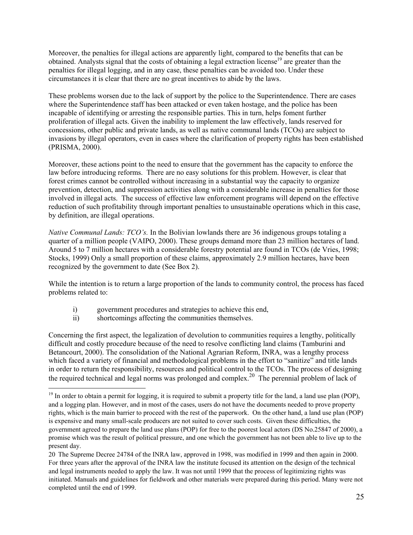Moreover, the penalties for illegal actions are apparently light, compared to the benefits that can be obtained. Analysts signal that the costs of obtaining a legal extraction license<sup>19</sup> are greater than the penalties for illegal logging, and in any case, these penalties can be avoided too. Under these circumstances it is clear that there are no great incentives to abide by the laws.

These problems worsen due to the lack of support by the police to the Superintendence. There are cases where the Superintendence staff has been attacked or even taken hostage, and the police has been incapable of identifying or arresting the responsible parties. This in turn, helps foment further proliferation of illegal acts. Given the inability to implement the law effectively, lands reserved for concessions, other public and private lands, as well as native communal lands (TCOs) are subject to invasions by illegal operators, even in cases where the clarification of property rights has been established (PRISMA, 2000).

Moreover, these actions point to the need to ensure that the government has the capacity to enforce the law before introducing reforms. There are no easy solutions for this problem. However, is clear that forest crimes cannot be controlled without increasing in a substantial way the capacity to organize prevention, detection, and suppression activities along with a considerable increase in penalties for those involved in illegal acts. The success of effective law enforcement programs will depend on the effective reduction of such profitability through important penalties to unsustainable operations which in this case, by definition, are illegal operations.

*Native Communal Lands: TCO's.* In the Bolivian lowlands there are 36 indigenous groups totaling a quarter of a million people (VAIPO, 2000). These groups demand more than 23 million hectares of land. Around 5 to 7 million hectares with a considerable forestry potential are found in TCOs (de Vries, 1998; Stocks, 1999) Only a small proportion of these claims, approximately 2.9 million hectares, have been recognized by the government to date (See Box 2).

While the intention is to return a large proportion of the lands to community control, the process has faced problems related to:

- i) government procedures and strategies to achieve this end,
- ii) shortcomings affecting the communities themselves.

 $\overline{a}$ 

Concerning the first aspect, the legalization of devolution to communities requires a lengthy, politically difficult and costly procedure because of the need to resolve conflicting land claims (Tamburini and Betancourt, 2000). The consolidation of the National Agrarian Reform, INRA, was a lengthy process which faced a variety of financial and methodological problems in the effort to "sanitize" and title lands in order to return the responsibility, resources and political control to the TCOs. The process of designing the required technical and legal norms was prolonged and complex.<sup>20</sup> The perennial problem of lack of

<span id="page-27-0"></span><sup>&</sup>lt;sup>19</sup> In order to obtain a permit for logging, it is required to submit a property title for the land, a land use plan (POP), and a logging plan. However, and in most of the cases, users do not have the documents needed to prove property rights, which is the main barrier to proceed with the rest of the paperwork. On the other hand, a land use plan (POP) is expensive and many small-scale producers are not suited to cover such costs. Given these difficulties, the government agreed to prepare the land use plans (POP) for free to the poorest local actors (DS No.25847 of 2000), a promise which was the result of political pressure, and one which the government has not been able to live up to the present day.

<span id="page-27-1"></span><sup>20</sup> The Supreme Decree 24784 of the INRA law, approved in 1998, was modified in 1999 and then again in 2000. For three years after the approval of the INRA law the institute focused its attention on the design of the technical and legal instruments needed to apply the law. It was not until 1999 that the process of legitimizing rights was initiated. Manuals and guidelines for fieldwork and other materials were prepared during this period. Many were not completed until the end of 1999.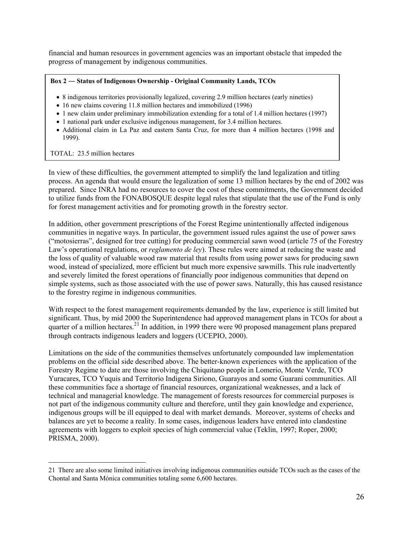financial and human resources in government agencies was an important obstacle that impeded the progress of management by indigenous communities.

#### **Box 2 ― Status of Indigenous Ownership - Original Community Lands, TCOs**

- 8 indigenous territories provisionally legalized, covering 2.9 million hectares (early nineties)
- 16 new claims covering 11.8 million hectares and immobilized (1996)
- 1 new claim under preliminary immobilization extending for a total of 1.4 million hectares (1997)
- 1 national park under exclusive indigenous management, for 3.4 million hectares.
- Additional claim in La Paz and eastern Santa Cruz, for more than 4 million hectares (1998 and 1999).

TOTAL: 23.5 million hectares

 $\overline{a}$ 

In view of these difficulties, the government attempted to simplify the land legalization and titling process. An agenda that would ensure the legalization of some 13 million hectares by the end of 2002 was prepared. Since INRA had no resources to cover the cost of these commitments, the Government decided to utilize funds from the FONABOSQUE despite legal rules that stipulate that the use of the Fund is only for forest management activities and for promoting growth in the forestry sector.

In addition, other government prescriptions of the Forest Regime unintentionally affected indigenous communities in negative ways. In particular, the government issued rules against the use of power saws ("motosierras", designed for tree cutting) for producing commercial sawn wood (article 75 of the Forestry Law's operational regulations, or *reglamento de ley*). These rules were aimed at reducing the waste and the loss of quality of valuable wood raw material that results from using power saws for producing sawn wood, instead of specialized, more efficient but much more expensive sawmills. This rule inadvertently and severely limited the forest operations of financially poor indigenous communities that depend on simple systems, such as those associated with the use of power saws. Naturally, this has caused resistance to the forestry regime in indigenous communities.

With respect to the forest management requirements demanded by the law, experience is still limited but significant. Thus, by mid 2000 the Superintendence had approved management plans in TCOs for about a quarter of a million hectares.<sup>21</sup> In addition, in 1999 there were 90 proposed management plans prepared through contracts indigenous leaders and loggers (UCEPIO, 2000).

Limitations on the side of the communities themselves unfortunately compounded law implementation problems on the official side described above. The better-known experiences with the application of the Forestry Regime to date are those involving the Chiquitano people in Lomerio, Monte Verde, TCO Yuracares, TCO Yuquis and Territorio Indigena Siriono, Guarayos and some Guarani communities. All these communities face a shortage of financial resources, organizational weaknesses, and a lack of technical and managerial knowledge. The management of forests resources for commercial purposes is not part of the indigenous community culture and therefore, until they gain knowledge and experience, indigenous groups will be ill equipped to deal with market demands. Moreover, systems of checks and balances are yet to become a reality. In some cases, indigenous leaders have entered into clandestine agreements with loggers to exploit species of high commercial value (Teklin, 1997; Roper, 2000; PRISMA, 2000).

<span id="page-28-0"></span><sup>21</sup> There are also some limited initiatives involving indigenous communities outside TCOs such as the cases of the Chontal and Santa Mónica communities totaling some 6,600 hectares.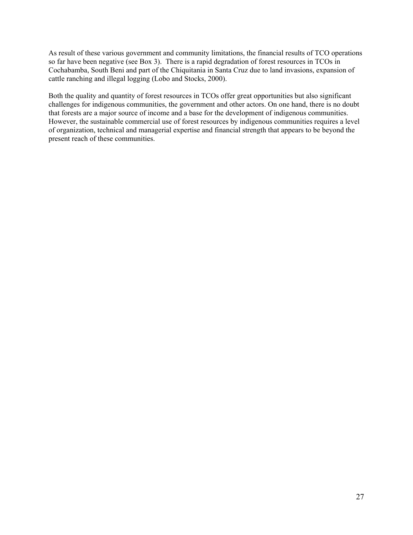As result of these various government and community limitations, the financial results of TCO operations so far have been negative (see Box 3). There is a rapid degradation of forest resources in TCOs in Cochabamba, South Beni and part of the Chiquitania in Santa Cruz due to land invasions, expansion of cattle ranching and illegal logging (Lobo and Stocks, 2000).

Both the quality and quantity of forest resources in TCOs offer great opportunities but also significant challenges for indigenous communities, the government and other actors. On one hand, there is no doubt that forests are a major source of income and a base for the development of indigenous communities. However, the sustainable commercial use of forest resources by indigenous communities requires a level of organization, technical and managerial expertise and financial strength that appears to be beyond the present reach of these communities.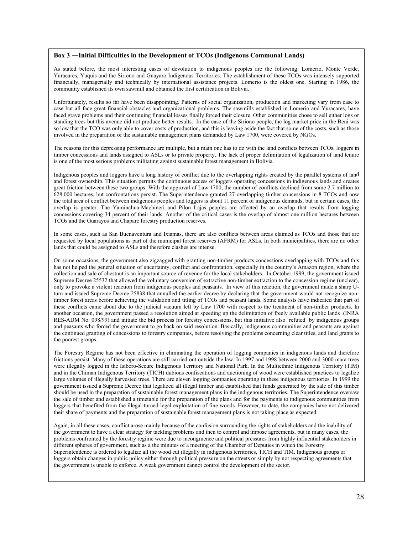#### **Box 3 ―Initial Difficulties in the Development of TCOs (Indigenous Communal Lands)**

As stated before, the most interesting cases of devolution to indigenous peoples are the following: Lomerio, Monte Verde, Yuracares, Yuquis and the Siriono and Guayaro Indigenous Territories. The establishment of these TCOs was intensely supported financially, managerially and technically by international assistance projects. Lomerio is the oldest one. Starting in 1986, the community established its own sawmill and obtained the first certification in Bolivia.

Unfortunately, results so far have been disappointing. Patterns of social organization, production and marketing vary from case to case but all face great financial obstacles and organizational problems. The sawmills established in Lomerio and Yuracares, have faced grave problems and their continuing financial losses finally forced their closure. Other communities chose to sell either logs or standing trees but this avenue did not produce better results. In the case of the Siriono people, the log market price in the Beni was so low that the TCO was only able to cover costs of production, and this is leaving aside the fact that some of the costs, such as those involved in the preparation of the sustainable management plans demanded by Law 1700, were covered by NGOs.

The reasons for this depressing performance are multiple, but a main one has to do with the land conflicts between TCOs, loggers in timber concessions and lands assigned to ASLs or to private property. The lack of proper delimitation of legalization of land tenure is one of the most serious problems militating against sustainable forest management in Bolivia.

Indigenous peoples and loggers have a long history of conflict due to the overlapping rights created by the parallel systems of land and forest ownership. This situation permits the continuous access of loggers operating concessions in indigenous lands and creates great friction between these two groups. With the approval of Law 1700, the number of conflicts declined from some 2.7 million to 628,000 hectares, but confrontations persist. The Superintendence granted 27 overlapping timber concessions in 8 TCOs and now the total area of conflict between indigenous peoples and loggers is about 11 percent of indigenous demands, but in certain cases, the overlap is greater. The Yaminahua-Machineri and Pilon Lajas peoples are affected by an overlap that results from logging concessions covering 34 percent of their lands. Another of the critical cases is the overlap of almost one million hectares between TCOs and the Guarayos and Chapare forestry production reserves.

In some cases, such as San Buenaventura and Ixiamas, there are also conflicts between areas claimed as TCOs and those that are requested by local populations as part of the municipal forest reserves (AFRM) for ASLs. In both municipalities, there are no other lands that could be assigned to ASLs and therefore clashes are intense.

On some occasions, the government also zigzagged with granting non-timber products concessions overlapping with TCOs and this has not helped the general situation of uncertainty, conflict and confrontation, especially in the country's Amazon region, where the collection and sale of chestnut is an important source of revenue for the local stakeholders. In October 1999, the government issued Supreme Decree 25532 that allowed the voluntary conversion of extractive non-timber extraction to the concession regime (unclear), only to provoke a violent reaction from indigenous peoples and peasants. In view of this reaction, the government made a sharp Uturn and issued Supreme Decree 25838 that annulled the earlier decree by declaring that the government would not recognize nontimber forest areas before achieving the validation and titling of TCOs and peasant lands. Some analysts have indicated that part of these conflicts came about due to the judicial vacuum left by Law 1700 with respect to the treatment of non-timber products. In another occasion, the government passed a resolution aimed at speeding up the delimitation of freely available public lands (INRA RES-ADM No. 098/99) and initiate the bid process for forestry concessions, but this initiative also refuted by indigenous groups and peasants who forced the government to go back on said resolution. Basically, indigenous communities and peasants are against the continued granting of concessions to forestry companies, before resolving the problems concerning clear titles, and land grants to the poorest groups.

The Forestry Regime has not been effective in eliminating the operation of logging companies in indigenous lands and therefore frictions persist. Many of these operations are still carried out outside the law. In 1997 and 1998 between 2000 and 3000 mara trees were illegally logged in the Isiboro-Secure Indigenous Territory and National Park. In the Multiethnic Indigenous Territory (TIM) and in the Chiman Indigenous Territory (TICH) dubious confiscations and auctioning of wood were established practices to legalize large volumes of illegally harvested trees. There are eleven logging companies operating in these indigenous territories. In 1999 the government issued a Supreme Decree that legalized all illegal timber and established that funds generated by the sale of this timber should be used in the preparation of sustainable forest management plans in the indigenous territories. The Superintendence oversaw the sale of timber and established a timetable for the preparation of the plans and for the payments to indigenous communities from loggers that benefited from the illegal-turned-legal exploitation of fine woods. However, to date, the companies have not delivered their share of payments and the preparation of sustainable forest management plans is not taking place as expected.

Again, in all these cases, conflict arose mainly because of the confusion surrounding the rights of stakeholders and the inability of the government to have a clear strategy for tackling problems and then to control and impose agreements, but in many cases, the problems confronted by the forestry regime were due to incongruence and political pressures from highly influential stakeholders in different spheres of government, such as a the minutes of a meeting of the Chamber of Deputies in which the Forestry Superintendence is ordered to legalize all the wood cut illegally in indigenous territories, TICH and TIM. Indigenous groups or loggers obtain changes in public policy either through political pressure on the streets or simply by not respecting agreements that the government is unable to enforce. A weak government cannot control the development of the sector.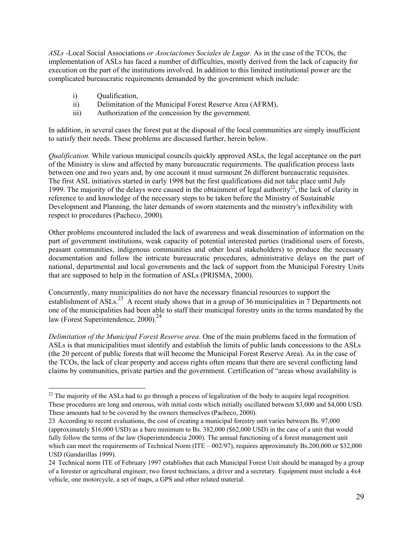*ASLs -*Local Social Associations *or Asociaciones Sociales de Lugar.* As in the case of the TCOs, the implementation of ASLs has faced a number of difficulties, mostly derived from the lack of capacity for execution on the part of the institutions involved. In addition to this limited institutional power are the complicated bureaucratic requirements demanded by the government which include:

i) Qualification,

 $\overline{a}$ 

- ii) Delimitation of the Municipal Forest Reserve Area (AFRM),
- iii) Authorization of the concession by the government.

In addition, in several cases the forest put at the disposal of the local communities are simply insufficient to satisfy their needs. These problems are discussed further, herein below.

*Qualification.* While various municipal councils quickly approved ASLs, the legal acceptance on the part of the Ministry is slow and affected by many bureaucratic requirements. The qualification process lasts between one and two years and, by one account it must surmount 26 different bureaucratic requisites. The first ASL initiatives started in early 1998 but the first qualifications did not take place until July 1999. The majority of the delays were caused in the obtainment of legal authority<sup>22</sup>, the lack of clarity in reference to and knowledge of the necessary steps to be taken before the Ministry of Sustainable Development and Planning, the later demands of sworn statements and the ministry's inflexibility with respect to procedures (Pacheco, 2000).

Other problems encountered included the lack of awareness and weak dissemination of information on the part of government institutions, weak capacity of potential interested parties (traditional users of forests, peasant communities, indigenous communities and other local stakeholders) to produce the necessary documentation and follow the intricate bureaucratic procedures, administrative delays on the part of national, departmental and local governments and the lack of support from the Municipal Forestry Units that are supposed to help in the formation of ASLs (PRISMA, 2000).

Concurrently, many municipalities do not have the necessary financial resources to support the establishment of  $ASLs$ <sup>23</sup> A recent study shows that in a group of 36 municipalities in 7 Departments not one of the municipalities had been able to staff their municipal forestry units in the terms mandated by the law (Forest Superintendence,  $2000$ ).<sup>[24](#page-31-2)</sup>

*Delimitation of the Municipal Forest Reserve area.* One of the main problems faced in the formation of ASLs is that municipalities must identify and establish the limits of public lands concessions to the ASLs (the 20 percent of public forests that will become the Municipal Forest Reserve Area). As in the case of the TCOs, the lack of clear property and access rights often means that there are several conflicting land claims by communities, private parties and the government. Certification of "areas whose availability is

<span id="page-31-0"></span> $^{22}$  The majority of the ASLs had to go through a process of legalization of the body to acquire legal recognition. These procedures are long and onerous, with initial costs which initially oscillated between \$3,000 and \$4,000 USD. These amounts had to be covered by the owners themselves (Pacheco, 2000).

<span id="page-31-1"></span><sup>23</sup> According to recent evaluations, the cost of creating a municipal forestry unit varies between Bs. 97,000 (approximately \$16,000 USD) as a bare minimum to Bs. 382,000 (\$62,000 USD) in the case of a unit that would fully follow the terms of the law (Superintendencia 2000). The annual functioning of a forest management unit which can meet the requirements of Technical Norm (ITE – 002/97), requires approximately Bs.200,000 or \$32,000 USD (Gandarillas 1999).

<span id="page-31-2"></span><sup>24</sup> Technical norm ITE of February 1997 establishes that each Municipal Forest Unit should be managed by a group of a forester or agricultural engineer, two forest technicians, a driver and a secretary. Equipment must include a 4x4 vehicle, one motorcycle, a set of maps, a GPS and other related material.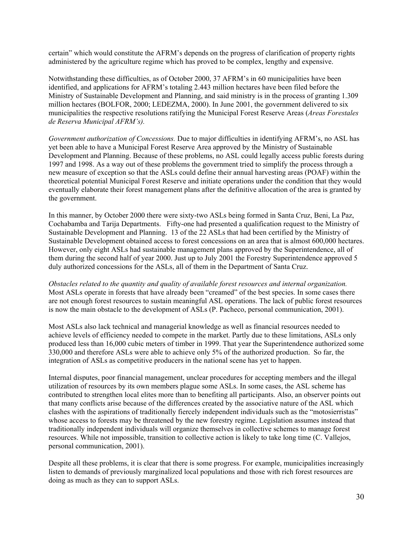certain" which would constitute the AFRM's depends on the progress of clarification of property rights administered by the agriculture regime which has proved to be complex, lengthy and expensive.

Notwithstanding these difficulties, as of October 2000, 37 AFRM's in 60 municipalities have been identified, and applications for AFRM's totaling 2.443 million hectares have been filed before the Ministry of Sustainable Development and Planning, and said ministry is in the process of granting 1.309 million hectares (BOLFOR, 2000; LEDEZMA, 2000). In June 2001, the government delivered to six municipalities the respective resolutions ratifying the Municipal Forest Reserve Areas (*Areas Forestales de Reserva Municipal AFRM's).*

*Government authorization of Concessions.* Due to major difficulties in identifying AFRM's, no ASL has yet been able to have a Municipal Forest Reserve Area approved by the Ministry of Sustainable Development and Planning. Because of these problems, no ASL could legally access public forests during 1997 and 1998. As a way out of these problems the government tried to simplify the process through a new measure of exception so that the ASLs could define their annual harvesting areas (POAF) within the theoretical potential Municipal Forest Reserve and initiate operations under the condition that they would eventually elaborate their forest management plans after the definitive allocation of the area is granted by the government.

In this manner, by October 2000 there were sixty-two ASLs being formed in Santa Cruz, Beni, La Paz, Cochabamba and Tarija Departments. Fifty-one had presented a qualification request to the Ministry of Sustainable Development and Planning. 13 of the 22 ASLs that had been certified by the Ministry of Sustainable Development obtained access to forest concessions on an area that is almost 600,000 hectares. However, only eight ASLs had sustainable management plans approved by the Superintendence, all of them during the second half of year 2000. Just up to July 2001 the Forestry Superintendence approved 5 duly authorized concessions for the ASLs, all of them in the Department of Santa Cruz.

*Obstacles related to the quantity and quality of available forest resources and internal organization.* Most ASLs operate in forests that have already been "creamed" of the best species. In some cases there are not enough forest resources to sustain meaningful ASL operations. The lack of public forest resources is now the main obstacle to the development of ASLs (P. Pacheco, personal communication, 2001).

Most ASLs also lack technical and managerial knowledge as well as financial resources needed to achieve levels of efficiency needed to compete in the market. Partly due to these limitations, ASLs only produced less than 16,000 cubic meters of timber in 1999. That year the Superintendence authorized some 330,000 and therefore ASLs were able to achieve only 5% of the authorized production. So far, the integration of ASLs as competitive producers in the national scene has yet to happen.

Internal disputes, poor financial management, unclear procedures for accepting members and the illegal utilization of resources by its own members plague some ASLs. In some cases, the ASL scheme has contributed to strengthen local elites more than to benefiting all participants. Also, an observer points out that many conflicts arise because of the differences created by the associative nature of the ASL which clashes with the aspirations of traditionally fiercely independent individuals such as the "motosierristas" whose access to forests may be threatened by the new forestry regime. Legislation assumes instead that traditionally independent individuals will organize themselves in collective schemes to manage forest resources. While not impossible, transition to collective action is likely to take long time (C. Vallejos, personal communication, 2001).

Despite all these problems, it is clear that there is some progress. For example, municipalities increasingly listen to demands of previously marginalized local populations and those with rich forest resources are doing as much as they can to support ASLs.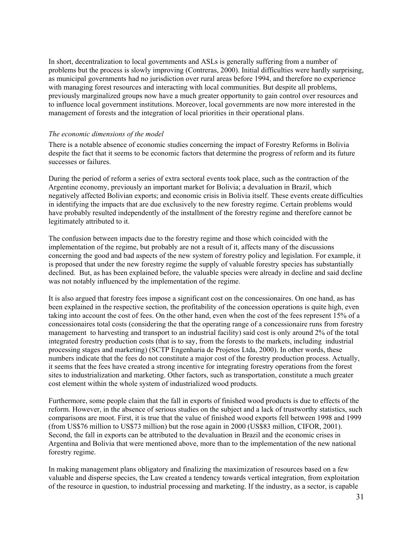<span id="page-33-0"></span>In short, decentralization to local governments and ASLs is generally suffering from a number of problems but the process is slowly improving (Contreras, 2000). Initial difficulties were hardly surprising, as municipal governments had no jurisdiction over rural areas before 1994, and therefore no experience with managing forest resources and interacting with local communities. But despite all problems, previously marginalized groups now have a much greater opportunity to gain control over resources and to influence local government institutions. Moreover, local governments are now more interested in the management of forests and the integration of local priorities in their operational plans.

#### *The economic dimensions of the model*

There is a notable absence of economic studies concerning the impact of Forestry Reforms in Bolivia despite the fact that it seems to be economic factors that determine the progress of reform and its future successes or failures.

During the period of reform a series of extra sectoral events took place, such as the contraction of the Argentine economy, previously an important market for Bolivia; a devaluation in Brazil, which negatively affected Bolivian exports; and economic crisis in Bolivia itself. These events create difficulties in identifying the impacts that are due exclusively to the new forestry regime. Certain problems would have probably resulted independently of the installment of the forestry regime and therefore cannot be legitimately attributed to it.

The confusion between impacts due to the forestry regime and those which coincided with the implementation of the regime, but probably are not a result of it, affects many of the discussions concerning the good and bad aspects of the new system of forestry policy and legislation. For example, it is proposed that under the new forestry regime the supply of valuable forestry species has substantially declined. But, as has been explained before, the valuable species were already in decline and said decline was not notably influenced by the implementation of the regime.

It is also argued that forestry fees impose a significant cost on the concessionaires. On one hand, as has been explained in the respective section, the profitability of the concession operations is quite high, even taking into account the cost of fees. On the other hand, even when the cost of the fees represent 15% of a concessionaires total costs (considering the that the operating range of a concessionaire runs from forestry management to harvesting and transport to an industrial facility) said cost is only around 2% of the total integrated forestry production costs (that is to say, from the forests to the markets, including industrial processing stages and marketing) (SCTP Engenharia de Projetos Ltda, 2000). In other words, these numbers indicate that the fees do not constitute a major cost of the forestry production process. Actually, it seems that the fees have created a strong incentive for integrating forestry operations from the forest sites to industrialization and marketing. Other factors, such as transportation, constitute a much greater cost element within the whole system of industrialized wood products.

Furthermore, some people claim that the fall in exports of finished wood products is due to effects of the reform. However, in the absence of serious studies on the subject and a lack of trustworthy statistics, such comparisons are moot. First, it is true that the value of finished wood exports fell between 1998 and 1999 (from US\$76 million to US\$73 million) but the rose again in 2000 (US\$83 million, CIFOR, 2001). Second, the fall in exports can be attributed to the devaluation in Brazil and the economic crises in Argentina and Bolivia that were mentioned above, more than to the implementation of the new national forestry regime.

In making management plans obligatory and finalizing the maximization of resources based on a few valuable and disperse species, the Law created a tendency towards vertical integration, from exploitation of the resource in question, to industrial processing and marketing. If the industry, as a sector, is capable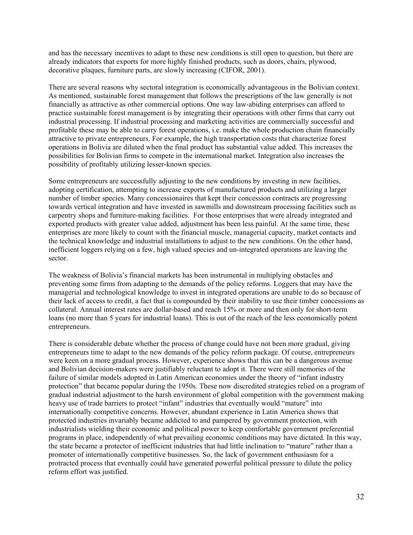and has the necessary incentives to adapt to these new conditions is still open to question, but there are already indicators that exports for more highly finished products, such as doors, chairs, plywood, decorative plaques, furniture parts, are slowly increasing (CIFOR, 2001).

There are several reasons why sectoral integration is economically advantageous in the Bolivian context. As mentioned, sustainable forest management that follows the prescriptions of the law generally is not financially as attractive as other commercial options. One way law-abiding enterprises can afford to practice sustainable forest management is by integrating their operations with other firms that carry out industrial processing. If industrial processing and marketing activities are commercially successful and profitable these may be able to carry forest operations, i.e. make the whole production chain financially attractive to private entrepreneurs. For example, the high transportation costs that characterize forest operations in Bolivia are diluted when the final product has substantial value added. This increases the possibilities for Bolivian firms to compete in the international market. Integration also increases the possibility of profitably utilizing lesser-known species.

Some entrepreneurs are successfully adjusting to the new conditions by investing in new facilities, adopting certification, attempting to increase exports of manufactured products and utilizing a larger number of timber species. Many concessionaires that kept their concession contracts are progressing towards vertical integration and have invested in sawmills and downstream processing facilities such as carpentry shops and furniture-making facilities. For those enterprises that were already integrated and exported products with greater value added, adjustment has been less painful. At the same time, these enterprises are more likely to count with the financial muscle, managerial capacity, market contacts and the technical knowledge and industrial installations to adjust to the new conditions. On the other hand, inefficient loggers relying on a few, high valued species and un-integrated operations are leaving the sector.

The weakness of Bolivia's financial markets has been instrumental in multiplying obstacles and preventing some firms from adapting to the demands of the policy reforms. Loggers that may have the managerial and technological knowledge to invest in integrated operations are unable to do so because of their lack of access to credit, a fact that is compounded by their inability to use their timber concessions as collateral. Annual interest rates are dollar-based and reach 15% or more and then only for short-term loans (no more than 5 years for industrial loans). This is out of the reach of the less economically potent entrepreneurs.

There is considerable debate whether the process of change could have not been more gradual, giving entrepreneurs time to adapt to the new demands of the policy reform package. Of course, entrepreneurs were keen on a more gradual process. However, experience shows that this can be a dangerous avenue and Bolivian decision-makers were justifiably reluctant to adopt it. There were still memories of the failure of similar models adopted in Latin American economies under the theory of "infant industry protection" that became popular during the 1950s. These now discredited strategies relied on a program of gradual industrial adjustment to the harsh environment of global competition with the government making heavy use of trade barriers to protect "infant" industries that eventually would "mature" into internationally competitive concerns. However, abundant experience in Latin America shows that protected industries invariably became addicted to and pampered by government protection, with industrialists wielding their economic and political power to keep comfortable government preferential programs in place, independently of what prevailing economic conditions may have dictated. In this way, the state became a protector of inefficient industries that had little inclination to "mature" rather than a promoter of internationally competitive businesses. So, the lack of government enthusiasm for a protracted process that eventually could have generated powerful political pressure to dilute the policy reform effort was justified.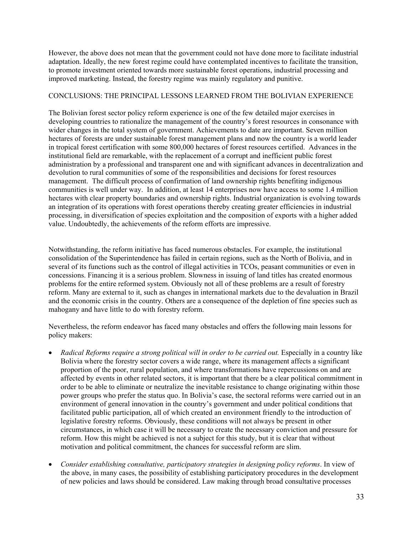<span id="page-35-0"></span>However, the above does not mean that the government could not have done more to facilitate industrial adaptation. Ideally, the new forest regime could have contemplated incentives to facilitate the transition, to promote investment oriented towards more sustainable forest operations, industrial processing and improved marketing. Instead, the forestry regime was mainly regulatory and punitive.

#### CONCLUSIONS: THE PRINCIPAL LESSONS LEARNED FROM THE BOLIVIAN EXPERIENCE

The Bolivian forest sector policy reform experience is one of the few detailed major exercises in developing countries to rationalize the management of the country's forest resources in consonance with wider changes in the total system of government. Achievements to date are important. Seven million hectares of forests are under sustainable forest management plans and now the country is a world leader in tropical forest certification with some 800,000 hectares of forest resources certified. Advances in the institutional field are remarkable, with the replacement of a corrupt and inefficient public forest administration by a professional and transparent one and with significant advances in decentralization and devolution to rural communities of some of the responsibilities and decisions for forest resources management. The difficult process of confirmation of land ownership rights benefiting indigenous communities is well under way. In addition, at least 14 enterprises now have access to some 1.4 million hectares with clear property boundaries and ownership rights. Industrial organization is evolving towards an integration of its operations with forest operations thereby creating greater efficiencies in industrial processing, in diversification of species exploitation and the composition of exports with a higher added value. Undoubtedly, the achievements of the reform efforts are impressive.

Notwithstanding, the reform initiative has faced numerous obstacles. For example, the institutional consolidation of the Superintendence has failed in certain regions, such as the North of Bolivia, and in several of its functions such as the control of illegal activities in TCOs, peasant communities or even in concessions. Financing it is a serious problem. Slowness in issuing of land titles has created enormous problems for the entire reformed system. Obviously not all of these problems are a result of forestry reform. Many are external to it, such as changes in international markets due to the devaluation in Brazil and the economic crisis in the country. Others are a consequence of the depletion of fine species such as mahogany and have little to do with forestry reform.

Nevertheless, the reform endeavor has faced many obstacles and offers the following main lessons for policy makers:

- *Radical Reforms require a strong political will in order to be carried out.* Especially in a country like Bolivia where the forestry sector covers a wide range, where its management affects a significant proportion of the poor, rural population, and where transformations have repercussions on and are affected by events in other related sectors, it is important that there be a clear political commitment in order to be able to eliminate or neutralize the inevitable resistance to change originating within those power groups who prefer the status quo. In Bolivia's case, the sectoral reforms were carried out in an environment of general innovation in the country's government and under political conditions that facilitated public participation, all of which created an environment friendly to the introduction of legislative forestry reforms. Obviously, these conditions will not always be present in other circumstances, in which case it will be necessary to create the necessary conviction and pressure for reform. How this might be achieved is not a subject for this study, but it is clear that without motivation and political commitment, the chances for successful reform are slim.
- *Consider establishing consultative, participatory strategies in designing policy reforms*. In view of the above, in many cases, the possibility of establishing participatory procedures in the development of new policies and laws should be considered. Law making through broad consultative processes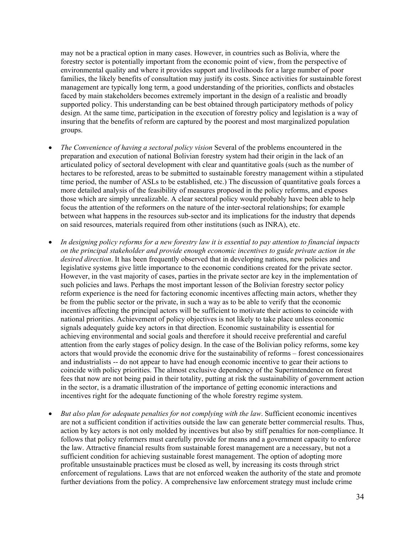may not be a practical option in many cases. However, in countries such as Bolivia, where the forestry sector is potentially important from the economic point of view, from the perspective of environmental quality and where it provides support and livelihoods for a large number of poor families, the likely benefits of consultation may justify its costs. Since activities for sustainable forest management are typically long term, a good understanding of the priorities, conflicts and obstacles faced by main stakeholders becomes extremely important in the design of a realistic and broadly supported policy. This understanding can be best obtained through participatory methods of policy design. At the same time, participation in the execution of forestry policy and legislation is a way of insuring that the benefits of reform are captured by the poorest and most marginalized population groups.

- *The Convenience of having a sectoral policy vision* Several of the problems encountered in the preparation and execution of national Bolivian forestry system had their origin in the lack of an articulated policy of sectoral development with clear and quantitative goals (such as the number of hectares to be reforested, areas to be submitted to sustainable forestry management within a stipulated time period, the number of ASLs to be established, etc.) The discussion of quantitative goals forces a more detailed analysis of the feasibility of measures proposed in the policy reforms, and exposes those which are simply unrealizable. A clear sectoral policy would probably have been able to help focus the attention of the reformers on the nature of the inter-sectoral relationships; for example between what happens in the resources sub-sector and its implications for the industry that depends on said resources, materials required from other institutions (such as INRA), etc.
- *In designing policy reforms for a new forestry law it is essential to pay attention to financial impacts on the principal stakeholder and provide enough economic incentives to guide private action in the desired direction*. It has been frequently observed that in developing nations, new policies and legislative systems give little importance to the economic conditions created for the private sector. However, in the vast majority of cases, parties in the private sector are key in the implementation of such policies and laws. Perhaps the most important lesson of the Bolivian forestry sector policy reform experience is the need for factoring economic incentives affecting main actors, whether they be from the public sector or the private, in such a way as to be able to verify that the economic incentives affecting the principal actors will be sufficient to motivate their actions to coincide with national priorities. Achievement of policy objectives is not likely to take place unless economic signals adequately guide key actors in that direction. Economic sustainability is essential for achieving environmental and social goals and therefore it should receive preferential and careful attention from the early stages of policy design. In the case of the Bolivian policy reforms, some key actors that would provide the economic drive for the sustainability of reforms – forest concessionaires and industrialists -- do not appear to have had enough economic incentive to gear their actions to coincide with policy priorities. The almost exclusive dependency of the Superintendence on forest fees that now are not being paid in their totality, putting at risk the sustainability of government action in the sector, is a dramatic illustration of the importance of getting economic interactions and incentives right for the adequate functioning of the whole forestry regime system.
- *But also plan for adequate penalties for not complying with the law*. Sufficient economic incentives are not a sufficient condition if activities outside the law can generate better commercial results. Thus, action by key actors is not only molded by incentives but also by stiff penalties for non-compliance. It follows that policy reformers must carefully provide for means and a government capacity to enforce the law. Attractive financial results from sustainable forest management are a necessary, but not a sufficient condition for achieving sustainable forest management. The option of adopting more profitable unsustainable practices must be closed as well, by increasing its costs through strict enforcement of regulations. Laws that are not enforced weaken the authority of the state and promote further deviations from the policy. A comprehensive law enforcement strategy must include crime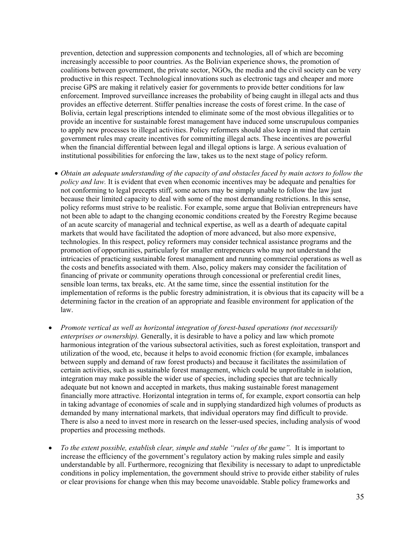prevention, detection and suppression components and technologies, all of which are becoming increasingly accessible to poor countries. As the Bolivian experience shows, the promotion of coalitions between government, the private sector, NGOs, the media and the civil society can be very productive in this respect. Technological innovations such as electronic tags and cheaper and more precise GPS are making it relatively easier for governments to provide better conditions for law enforcement. Improved surveillance increases the probability of being caught in illegal acts and thus provides an effective deterrent. Stiffer penalties increase the costs of forest crime. In the case of Bolivia, certain legal prescriptions intended to eliminate some of the most obvious illegalities or to provide an incentive for sustainable forest management have induced some unscrupulous companies to apply new processes to illegal activities. Policy reformers should also keep in mind that certain government rules may create incentives for committing illegal acts. These incentives are powerful when the financial differential between legal and illegal options is large. A serious evaluation of institutional possibilities for enforcing the law, takes us to the next stage of policy reform.

- *Obtain an adequate understanding of the capacity of and obstacles faced by main actors to follow the policy and law.* It is evident that even when economic incentives may be adequate and penalties for not conforming to legal precepts stiff, some actors may be simply unable to follow the law just because their limited capacity to deal with some of the most demanding restrictions. In this sense, policy reforms must strive to be realistic. For example, some argue that Bolivian entrepreneurs have not been able to adapt to the changing economic conditions created by the Forestry Regime because of an acute scarcity of managerial and technical expertise, as well as a dearth of adequate capital markets that would have facilitated the adoption of more advanced, but also more expensive, technologies. In this respect, policy reformers may consider technical assistance programs and the promotion of opportunities, particularly for smaller entrepreneurs who may not understand the intricacies of practicing sustainable forest management and running commercial operations as well as the costs and benefits associated with them. Also, policy makers may consider the facilitation of financing of private or community operations through concessional or preferential credit lines, sensible loan terms, tax breaks, etc. At the same time, since the essential institution for the implementation of reforms is the public forestry administration, it is obvious that its capacity will be a determining factor in the creation of an appropriate and feasible environment for application of the law.
- *Promote vertical as well as horizontal integration of forest-based operations (not necessarily enterprises or ownership).* Generally, it is desirable to have a policy and law which promote harmonious integration of the various subsectoral activities, such as forest exploitation, transport and utilization of the wood, etc, because it helps to avoid economic friction (for example, imbalances between supply and demand of raw forest products) and because it facilitates the assimilation of certain activities, such as sustainable forest management, which could be unprofitable in isolation, integration may make possible the wider use of species, including species that are technically adequate but not known and accepted in markets, thus making sustainable forest management financially more attractive. Horizontal integration in terms of, for example, export consortia can help in taking advantage of economies of scale and in supplying standardized high volumes of products as demanded by many international markets, that individual operators may find difficult to provide. There is also a need to invest more in research on the lesser-used species, including analysis of wood properties and processing methods.
- *To the extent possible, establish clear, simple and stable "rules of the game".* It is important to increase the efficiency of the government's regulatory action by making rules simple and easily understandable by all. Furthermore, recognizing that flexibility is necessary to adapt to unpredictable conditions in policy implementation, the government should strive to provide either stability of rules or clear provisions for change when this may become unavoidable. Stable policy frameworks and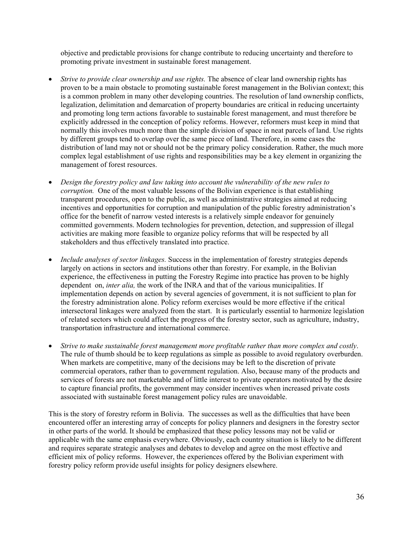objective and predictable provisions for change contribute to reducing uncertainty and therefore to promoting private investment in sustainable forest management.

- *Strive to provide clear ownership and use rights.* The absence of clear land ownership rights has proven to be a main obstacle to promoting sustainable forest management in the Bolivian context; this is a common problem in many other developing countries. The resolution of land ownership conflicts, legalization, delimitation and demarcation of property boundaries are critical in reducing uncertainty and promoting long term actions favorable to sustainable forest management, and must therefore be explicitly addressed in the conception of policy reforms. However, reformers must keep in mind that normally this involves much more than the simple division of space in neat parcels of land. Use rights by different groups tend to overlap over the same piece of land. Therefore, in some cases the distribution of land may not or should not be the primary policy consideration. Rather, the much more complex legal establishment of use rights and responsibilities may be a key element in organizing the management of forest resources.
- *Design the forestry policy and law taking into account the vulnerability of the new rules to corruption.* One of the most valuable lessons of the Bolivian experience is that establishing transparent procedures, open to the public, as well as administrative strategies aimed at reducing incentives and opportunities for corruption and manipulation of the public forestry administration's office for the benefit of narrow vested interests is a relatively simple endeavor for genuinely committed governments. Modern technologies for prevention, detection, and suppression of illegal activities are making more feasible to organize policy reforms that will be respected by all stakeholders and thus effectively translated into practice.
- *Include analyses of sector linkages.* Success in the implementation of forestry strategies depends largely on actions in sectors and institutions other than forestry. For example, in the Bolivian experience, the effectiveness in putting the Forestry Regime into practice has proven to be highly dependent on, *inter alia,* the work of the INRA and that of the various municipalities. If implementation depends on action by several agencies of government, it is not sufficient to plan for the forestry administration alone. Policy reform exercises would be more effective if the critical intersectoral linkages were analyzed from the start. It is particularly essential to harmonize legislation of related sectors which could affect the progress of the forestry sector, such as agriculture, industry, transportation infrastructure and international commerce.
- *Strive to make sustainable forest management more profitable rather than more complex and costly*. The rule of thumb should be to keep regulations as simple as possible to avoid regulatory overburden. When markets are competitive, many of the decisions may be left to the discretion of private commercial operators, rather than to government regulation. Also, because many of the products and services of forests are not marketable and of little interest to private operators motivated by the desire to capture financial profits, the government may consider incentives when increased private costs associated with sustainable forest management policy rules are unavoidable.

This is the story of forestry reform in Bolivia. The successes as well as the difficulties that have been encountered offer an interesting array of concepts for policy planners and designers in the forestry sector in other parts of the world. It should be emphasized that these policy lessons may not be valid or applicable with the same emphasis everywhere. Obviously, each country situation is likely to be different and requires separate strategic analyses and debates to develop and agree on the most effective and efficient mix of policy reforms. However, the experiences offered by the Bolivian experiment with forestry policy reform provide useful insights for policy designers elsewhere.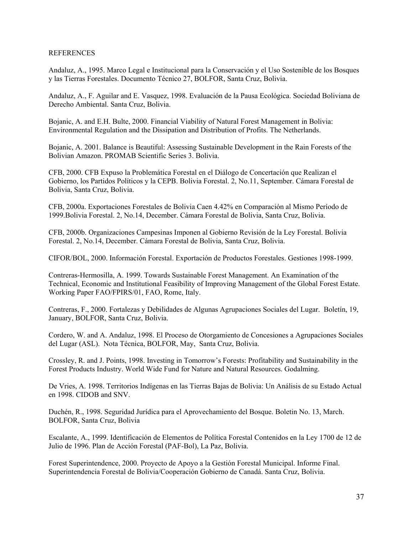#### <span id="page-39-0"></span>**REFERENCES**

Andaluz, A., 1995. Marco Legal e Institucional para la Conservación y el Uso Sostenible de los Bosques y las Tierras Forestales. Documento Técnico 27, BOLFOR, Santa Cruz, Bolivia.

Andaluz, A., F. Aguilar and E. Vasquez, 1998. Evaluación de la Pausa Ecológica. Sociedad Boliviana de Derecho Ambiental. Santa Cruz, Bolivia.

Bojanic, A. and E.H. Bulte, 2000. Financial Viability of Natural Forest Management in Bolivia: Environmental Regulation and the Dissipation and Distribution of Profits. The Netherlands.

Bojanic, A. 2001. Balance is Beautiful: Assessing Sustainable Development in the Rain Forests of the Bolivian Amazon. PROMAB Scientific Series 3. Bolivia.

CFB, 2000. CFB Expuso la Problemática Forestal en el Diálogo de Concertación que Realizan el Gobierno, los Partidos Políticos y la CEPB. Bolivia Forestal. 2, No.11, September. Cámara Forestal de Bolivia, Santa Cruz, Bolivia.

CFB, 2000a. Exportaciones Forestales de Bolivia Caen 4.42% en Comparación al Mismo Período de 1999.Bolivia Forestal. 2, No.14, December. Cámara Forestal de Bolivia, Santa Cruz, Bolivia.

CFB, 2000b. Organizaciones Campesinas Imponen al Gobierno Revisión de la Ley Forestal. Bolivia Forestal. 2, No.14, December. Cámara Forestal de Bolivia, Santa Cruz, Bolivia.

CIFOR/BOL, 2000. Información Forestal. Exportación de Productos Forestales. Gestiones 1998-1999.

Contreras-Hermosilla, A. 1999. Towards Sustainable Forest Management. An Examination of the Technical, Economic and Institutional Feasibility of Improving Management of the Global Forest Estate. Working Paper FAO/FPIRS/01, FAO, Rome, Italy.

Contreras, F., 2000. Fortalezas y Debilidades de Algunas Agrupaciones Sociales del Lugar. Boletín, 19, January, BOLFOR, Santa Cruz, Bolivia.

Cordero, W. and A. Andaluz, 1998. El Proceso de Otorgamiento de Concesiones a Agrupaciones Sociales del Lugar (ASL). Nota Técnica, BOLFOR, May, Santa Cruz, Bolivia.

Crossley, R. and J. Points, 1998. Investing in Tomorrow's Forests: Profitability and Sustainability in the Forest Products Industry. World Wide Fund for Nature and Natural Resources. Godalming.

De Vries, A. 1998. Territorios Indígenas en las Tierras Bajas de Bolivia: Un Análisis de su Estado Actual en 1998. CIDOB and SNV.

Duchén, R., 1998. Seguridad Jurídica para el Aprovechamiento del Bosque. Boletin No. 13, March. BOLFOR, Santa Cruz, Bolivia

Escalante, A., 1999. Identificación de Elementos de Política Forestal Contenidos en la Ley 1700 de 12 de Julio de 1996. Plan de Acción Forestal (PAF-Bol), La Paz, Bolivia.

Forest Superintendence, 2000. Proyecto de Apoyo a la Gestión Forestal Municipal. Informe Final. Superintendencia Forestal de Bolivia/Cooperación Gobierno de Canadá. Santa Cruz, Bolivia.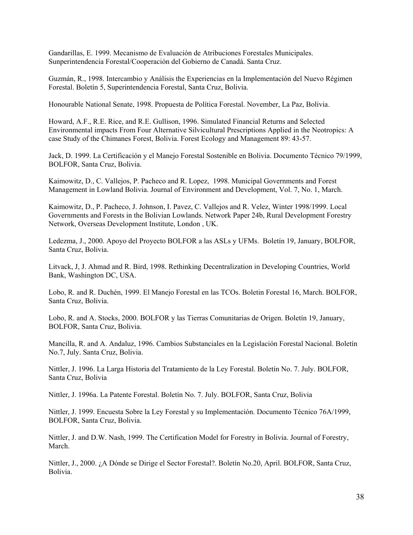Gandarillas, E. 1999. Mecanismo de Evaluación de Atribuciones Forestales Municipales. Sunperintendencia Forestal/Cooperación del Gobierno de Canadá. Santa Cruz.

Guzmán, R., 1998. Intercambio y Análisis the Experiencias en la Implementación del Nuevo Régimen Forestal. Boletín 5, Superintendencia Forestal, Santa Cruz, Bolivia.

Honourable National Senate, 1998. Propuesta de Política Forestal. November, La Paz, Bolivia.

Howard, A.F., R.E. Rice, and R.E. Gullison, 1996. Simulated Financial Returns and Selected Environmental impacts From Four Alternative Silvicultural Prescriptions Applied in the Neotropics: A case Study of the Chimanes Forest, Bolivia. Forest Ecology and Management 89: 43-57.

Jack, D. 1999. La Certificación y el Manejo Forestal Sostenible en Bolivia. Documento Técnico 79/1999, BOLFOR, Santa Cruz, Bolivia.

Kaimowitz, D., C. Vallejos, P. Pacheco and R. Lopez, 1998. Municipal Governments and Forest Management in Lowland Bolivia. Journal of Environment and Development, Vol. 7, No. 1, March.

Kaimowitz, D., P. Pacheco, J. Johnson, I. Pavez, C. Vallejos and R. Velez, Winter 1998/1999. Local Governments and Forests in the Bolivian Lowlands. Network Paper 24b, Rural Development Forestry Network, Overseas Development Institute, London , UK.

Ledezma, J., 2000. Apoyo del Proyecto BOLFOR a las ASLs y UFMs. Boletín 19, January, BOLFOR, Santa Cruz, Bolivia.

Litvack, J, J. Ahmad and R. Bird, 1998. Rethinking Decentralization in Developing Countries, World Bank, Washington DC, USA.

Lobo, R. and R. Duchén, 1999. El Manejo Forestal en las TCOs. Boletin Forestal 16, March. BOLFOR, Santa Cruz, Bolivia.

Lobo, R. and A. Stocks, 2000. BOLFOR y las Tierras Comunitarias de Origen. Boletín 19, January, BOLFOR, Santa Cruz, Bolivia.

Mancilla, R. and A. Andaluz, 1996. Cambios Substanciales en la Legislación Forestal Nacional. Boletín No.7, July. Santa Cruz, Bolivia.

Nittler, J. 1996. La Larga Historia del Tratamiento de la Ley Forestal. Boletín No. 7. July. BOLFOR, Santa Cruz, Bolivia

Nittler, J. 1996a. La Patente Forestal. Boletín No. 7. July. BOLFOR, Santa Cruz, Bolivia

Nittler, J. 1999. Encuesta Sobre la Ley Forestal y su Implementación. Documento Técnico 76A/1999, BOLFOR, Santa Cruz, Bolivia.

Nittler, J. and D.W. Nash, 1999. The Certification Model for Forestry in Bolivia. Journal of Forestry, March.

Nittler, J., 2000. ¿A Dónde se Dirige el Sector Forestal?. Boletín No.20, April. BOLFOR, Santa Cruz, Bolivia.